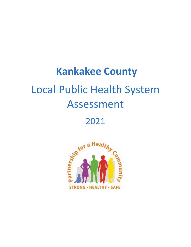# **Kankakee County** Local Public Health System Assessment

# 2021

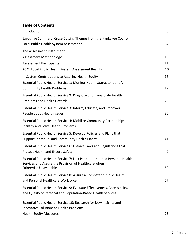# **Table of Contents**

| Introduction                                                                                                                              | 3        |
|-------------------------------------------------------------------------------------------------------------------------------------------|----------|
| Executive Summary: Cross-Cutting Themes from the Kankakee County                                                                          |          |
| Local Public Health System Assessment                                                                                                     | 4        |
| The Assessment Instrument                                                                                                                 | 8        |
| <b>Assessment Methodology</b>                                                                                                             | 10       |
| <b>Assessment Participants</b>                                                                                                            | 11       |
| 2021 Local Public Health System Assessment Results                                                                                        | 13       |
| System Contributions to Assuring Health Equity                                                                                            | 16       |
| Essential Public Health Service 1: Monitor Health Status to Identify<br><b>Community Health Problems</b>                                  | 17       |
| Essential Public Health Service 2: Diagnose and Investigate Health<br><b>Problems and Health Hazards</b>                                  | 23       |
| Essential Public Health Service 3: Inform, Educate, and Empower<br>People about Health Issues                                             | 30       |
| Essential Public Health Service 4: Mobilize Community Partnerships to<br>Identify and Solve Health Problems                               | 36       |
| Essential Public Health Service 5: Develop Policies and Plans that<br>Support Individual and Community Health Efforts                     | 41       |
| Essential Public Health Service 6: Enforce Laws and Regulations that<br><b>Protect Health and Ensure Safety</b>                           | 47       |
| Essential Public Health Service 7: Link People to Needed Personal Health<br>Services and Assure the Provision of Healthcare when          |          |
| Otherwise Unavailable                                                                                                                     | 52       |
| Essential Public Health Service 8: Assure a Competent Public Health<br>and Personal Healthcare Workforce                                  | 57       |
| Essential Public Health Service 9: Evaluate Effectiveness, Accessibility,<br>and Quality of Personal and Population-Based Health Services | 63       |
| Essential Public Health Service 10: Research for New Insights and                                                                         |          |
| <b>Innovative Solutions to Health Problems</b><br><b>Health Equity Measures</b>                                                           | 68<br>73 |
|                                                                                                                                           |          |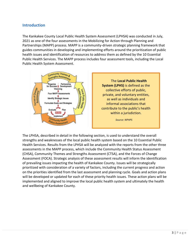#### <span id="page-2-0"></span>**Introduction**

The Kankakee County Local Public Health System Assessment (LPHSA) was conducted in July, 2021 as one of the four assessments in the Mobilizing for Action through Planning and Partnerships (MAPP) process. MAPP is a community-driven strategic planning framework that guides communities in developing and implementing efforts around the prioritization of public health issues and identification of resources to address them as defined by the 10 Essential Public Health Services. The MAPP process includes four assessment tools, including the Local Public Health System Assessment.



The LPHSA, described in detail in the following section, is used to understand the overall strengths and weaknesses of the local public health system based on the 10 Essential Public Health Services. Results from the LPHSA will be analyzed with the reports from the other three assessments in the MAPP process, which include the Community Health Status Assessment (CHSA), Community Themes and Strengths Assessment (CTSA), and the Forces of Change Assessment (FOCA). Strategic analysis of these assessment results will inform the identification of prevailing issues impacting the health of Kankakee County. Issues will be strategically prioritized with consideration of a variety of factors, including the current progress and action on the priorities identified from the last assessment and planning cycle. Goals and action plans will be developed or updated for each of these priority health issues. These action plans will be implemented and aligned to improve the local public health system and ultimately the health and wellbeing of Kankakee County.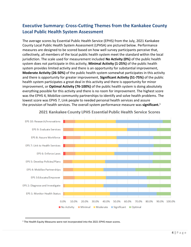# <span id="page-3-0"></span>**Executive Summary: Cross-Cutting Themes from the Kankakee County Local Public Health System Assessment**

The average scores by Essential Public Health Service (EPHS) from the July, 2021 Kankakee County Local Public Health System Assessment (LPHSA) are pictured below. Performance measures are designed to be scored based on how well survey participants perceive that, collectively, all members of the local public health system meet the standard within the local jurisdiction. The scale used for measurement included **No Activity (0%)** of the public health system does not participate in this activity, **Minimal Activity (1-25%)** of the public health system provides limited activity and there is an opportunity for substantial improvement, **Moderate Activity (26-50%)** of the public health system somewhat participates in this activity and there is opportunity for greater improvement, **Significant Activity (51-75%)** of the public health system participates a great deal in this activity and there is opportunity for minor improvement, or **Optimal Activity (76-100%)** of the public health system is doing absolutely everything possible for this activity and there is no room for improvement. The highest score was the EPHS 4, Mobilize community partnerships to identify and solve health problems. The lowest score was EPHS 7, Link people to needed personal health services and assure the provision of health services. The overall system performance measure was **significant.**<sup>1</sup>



#### 2021 Kankakee County LPHS Essential Public Health Service Scores

<sup>&</sup>lt;sup>1</sup> The Health Equity Measures were not incorporated into the 2021 EPHS mean scores.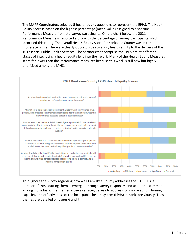The MAPP Coordinators selected 5 health equity questions to represent the EPHS. The Health Equity Score is based on the highest percentage (mean value) assigned to a specific Performance Measure from the survey participants. On the chart below the 2021 Performance Measure is reported along with the percentage of survey participants which identified this rating. The overall Health Equity Score for Kankakee County was in the **moderate** range. There are clearly opportunities to apply health equity to the delivery of the 10 Essential Public Health Services. The partners that comprise the LPHS are at different stages of integrating a health equity lens into their work. Many of the Health Equity Measures score far lower than the Performance Measures because this work is still new but highly prioritized among the LPHS.



Throughout the survey regarding how well Kankakee County addresses the 10 EPHSs, a number of cross-cutting themes emerged through survey responses and additional comments among individuals. The themes arose as strategic areas to address for improved functioning, capacity, and effectiveness of the local public health system (LPHS) in Kankakee County. These themes are detailed on pages 6 and 7.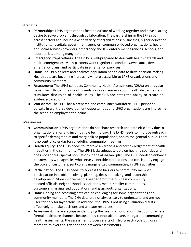#### **Strengths**

- **Partnerships:** LPHS organizations foster a culture of working together and have a strong desire to solve problems through collaboration. The partnerships in the LPHS span across sectors and include a wide variety of organizations: businesses, higher education institutions, hospitals, government agencies, community-based organizations, health and social services providers, emergency and law enforcement agencies, schools, and laboratories, among many others.
- **Emergency Preparedness:** The LPHS is well-prepared to deal with health hazards and health emergencies. Many partners work together to conduct surveillance, develop emergency plans, and participate in emergency exercises.
- **Data:** The LPHS collects and analyzes population health data to drive decision-making. Health data are becoming increasingly more accessible to LPHS organizations and community members.
- **Assessment:** The LPHS conducts Community Health Assessments (CHAs) on a regular basis. The CHA identifies health needs, raises awareness about health disparities, and stimulates discussion of health issues. The CHA facilitates the ability to create an evidence-based CHIP.
- **Workforce:** The LPHS has a prepared and compliance workforce. LPHS personnel partake in workforce development opportunities and LPHS organizations are improving the school to employment pipeline.

#### Weaknesses

- **Communication:** LPHS organizations do not share research and data efficiently due to organizational silos and incompatible technology. The LPHS needs to improve outreach to specific demographics and marginalized populations, and to the general public. There is no central calendar for scheduling community meetings.
- **Health Equity:** The LPHS needs to improve awareness and acknowledgement of health inequities in the community. The LPHS lacks adequate data on health disparities and does not address special populations in the all-hazard plan. The LPHS needs to enhance partnerships with agencies who serve vulnerable populations and consistently engage the voice of customers, particularly marginalized communities, in LPHS activities.
- **Participation:** The LPHS needs to address the barriers to community member participation in problem-solving, planning, decision making, and leadership development. More involvement is needed from the business community, elected officials, neighborhood associations, media, smaller communities, customers, marginalized populations, and grassroots organizations.
- **Data:** Finding and accessing data can be challenging for some organizations and community members. The CHA data are not always easy to understand and are not user-friendly for laypersons. In addition, the LPHS is not using evaluation results effectively to make decisions and allocate resources.
- **Assessment:** There are gaps in identifying the needs of populations that do not access formal healthcare channels because they cannot afford care. In regard to community health assessments, the assessment process starts off strong each cycle but loses momentum over the 3-year period between assessments.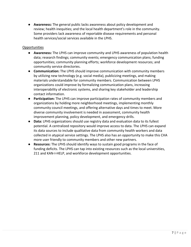● **Awareness:** The general public lacks awareness about policy development and review; health inequities; and the local health department's role in the community. Some providers lack awareness of reportable disease requirements and personal health services/social services available in the LPHS.

#### Opportunities

- **Awareness:** The LPHS can improve community and LPHS awareness of population health data; research findings; community events; emergency communication plans; funding opportunities; community planning efforts; workforce development resources; and community service directories.
- **Communication:** The LPHS should improve communication with community members by utilizing new technology (e.g. social media), publicizing meetings, and making materials understandable for community members. Communication between LPHS organizations could improve by formalizing communication plans, increasing interoperability of electronic systems, and sharing key stakeholder and leadership contact information.
- **Participation:** The LPHS can improve participation rates of community members and organizations by holding more neighborhood meetings, implementing monthly community council meetings, and offering alternative days and times to meet. More diverse community involvement is needed in assessment, community health improvement planning, policy development, and emergency drills.
- **Data:** LPHS organizations should use registry data and evaluation data to its fullest potential. A centralized repository would improve access to data. The LPHS can expand its data sources to include qualitative data from community health workers and data collected in atypical service settings. The LPHS also has an opportunity to make this CHA more user friendly to community members and other new partners.
- **Resources:** The LPHS should identify ways to sustain good programs in the face of funding deficits. The LPHS can tap into existing resources such as the local universities, 211 and KAN-I-HELP, and workforce development opportunities.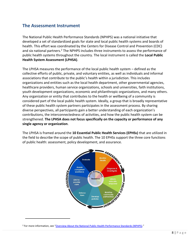# **The Assessment Instrument**

The National Public Health Performance Standards (NPHPS) was a national initiative that developed a set of standardized goals for state and local public health systems and boards of health. This effort was coordinated by the Centers for Disease Control and Prevention (CDC) and six national partners.<sup>2</sup> The NPHPS includes three instruments to assess the performance of public health systems throughout the country. The local instrument is called the **Local Public Health System Assessment (LPHSA)**.

The LPHSA measures the performance of the local public health system – defined as the collective efforts of public, private, and voluntary entities, as well as individuals and informal associations that contribute to the public's health within a jurisdiction. This includes organizations and entities such as the local health department, other governmental agencies, healthcare providers, human service organizations, schools and universities, faith institutions, youth development organizations, economic and philanthropic organizations, and many others. Any organization or entity that contributes to the health or wellbeing of a community is considered part of the local public health system. Ideally, a group that is broadly representative of these public health system partners participates in the assessment process. By sharing diverse perspectives, all participants gain a better understanding of each organization's contributions, the interconnectedness of activities, and how the public health system can be strengthened. **The LPHSA does not focus specifically on the capacity or performance of any single agency or organization**.

The LPHSA is framed around the **10 Essential Public Health Services (EPHSs)** that are utilized in the field to describe the scope of public health. The 10 EPHSs support the three core functions of public health: assessment, policy development, and assurance.



<sup>&</sup>lt;sup>2</sup> For more information, see "[Overview About the National Public Health Performance Standards \(NPHPS\)](http://www.phf.org/programs/NPHPS/Pages/default.aspx)."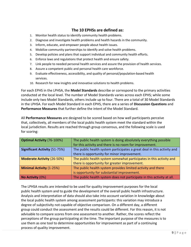### **The 10 EPHSs are defined as:**

- 1. Monitor health status to identify community health problems.
- 2. Diagnose and investigate health problems and health hazards in the community.
- 3. Inform, educate, and empower people about health issues.
- 4. Mobilize community partnerships to identify and solve health problems.
- 5. Develop policies and plans that support individual and community health efforts.
- 6. Enforce laws and regulations that protect health and ensure safety.
- 7. Link people to needed personal health services and assure the provision of health services.
- 8. Assure a competent public and personal health care workforce.
- 9. Evaluate effectiveness, accessibility, and quality of personal/population-based health services.
- 10. Research for new insights and innovative solutions to health problems.

For each EPHS in the LPHSA, the **Model Standards** describe or correspond to the primary activities conducted at the local level. The number of Model Standards varies across each EPHS; while some include only two Model Standards, others include up to four. There are a total of 30 Model Standards in the LPHSA. For each Model Standard in each EPHS, there are a series of **Discussion Questions** and **Performance Measures** that further define the intent of the Model Standard.

All **Performance Measures** are designed to be scored based on how well participants perceive that, collectively, all members of the local public health system meet the standard within the local jurisdiction. Results are reached through group consensus, and the following scale is used for scoring:

| <b>Optimal Activity (76-100%)</b>    | The public health system is doing absolutely everything possible<br>for this activity and there is no room for improvement. |
|--------------------------------------|-----------------------------------------------------------------------------------------------------------------------------|
|                                      |                                                                                                                             |
| <b>Significant Activity (51-75%)</b> | The public health system participates a great deal in this activity and                                                     |
|                                      | there is opportunity for minor improvement.                                                                                 |
| <b>Moderate Activity (26-50%)</b>    | The public health system somewhat participates in this activity and                                                         |
|                                      | there is opportunity for greater improvement.                                                                               |
| <b>Minimal Activity (1-25%)</b>      | The public health system provides limited activity and there                                                                |
|                                      | is opportunity for substantial improvement.                                                                                 |
| No Activity (0%)                     | The public health system does not participate in this activity at all.                                                      |

The LPHSA results are intended to be used for quality improvement purposes for the local public health system and to guide the development of the overall public health infrastructure. Analysis and interpretation of data should also take into account variation in knowledge about the local public health system among assessment participants: this variation may introduce a degree of subjectivity not capable of objective comparison. On a different day, a different group could conduct the assessment and the results could be different. For this reason, it is not advisable to compare scores from one assessment to another. Rather, the scores reflect the perceptions of the group participating at the time. The important purpose of the measures is to use them as one tool to determine opportunities for improvement as part of a continuing process of quality improvement.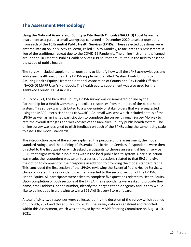# **The Assessment Methodology**

Using the **National Associate of County & City Health Officials (NACCHO)** Local Assessment Instrument as a guide, a small workgroup convened in December 2020 to select questions from each of the **10 Essential Public Health Services (EPHSs)**. These selected questions were entered into an online survey collector, called Survey Monkey, to facilitate this Assessment in lieu of the traditional retreat due to the COVID-19 Pandemic. The online instrument is framed around the 10 Essential Public Health Services (EPHSs) that are utilized in the field to describe the scope of public health.

The survey included supplemental questions to identify how well the LPHS acknowledges and addresses health inequities. The LPHSA supplement is called "System Contributions to Assuring Health Equity," from the National Association of County and City Health Officials (NACCHO) MAPP User's Handbook. The health equity supplement was also used for the Kankakee County LPHSA in 2017.

In July of 2021, the Kankakee County LPHSA survey was disseminated online by the Partnership for a Health Community to collect responses from members of the public health system. This survey was distributed to a wide-variety of stakeholders that were suggested using the MAPP User's Handbook (NACCHO). An email was sent which included details of the LPHSA as well as an invited participation to complete the survey through Survey Monkey to rate the overall strengths and weaknesses of the Kankakee County public health system. The online survey was designed to elicit feedback on each of the EPHSs using the same rating scale to assess the model standards.

The introduction page of the survey explained the purpose of the assessment, the model standard ratings, and the defining 10 Essential Public Health Services. Respondents were then directed to the first question which asked participants to choose an essential health service (EHS) that aligns with their job duties within the local public health system. Once a selection was made, the respondent was taken to a series of questions related to that EHS and given the option to comment on their response in addition to providing the model standard rating. This concluded the first section of the LPHSA, reviewing the Essential Public Health Services. Once completed, the respondent was then directed to the second section of the LPHSA, Health Equity. All participants were asked to complete five questions related to Health Equity. Upon completion of both sections of the LPHSA, the respondents were asked to provide their name, email address, phone number, identify their organization or agency and if they would like to be included in a drawing to win a \$25 Aldi Grocery Store gift card.

A total of sixty-two responses were collected during the duration of the survey which opened on July 8th, 2021 and closed July 26th, 2021. The survey data was analyzed and reported within this Assessment, which was approved by the MAPP Steering Committee on August 10, 2021.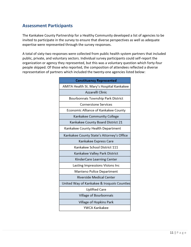# <span id="page-10-0"></span>**Assessment Participants**

The Kankakee County Partnership for a Healthy Community developed a list of agencies to be invited to participate in the survey to ensure that diverse perspectives as well as adequate expertise were represented through the survey responses.

A total of sixty-two responses were collected from public health system partners that included public, private, and voluntary sectors. Individual survey participants could self-report the organization or agency they represented, but this was a voluntary question which forty-four people skipped. Of those who reported, the composition of attendees reflected a diverse representation of partners which included the twenty-one agencies listed below:

| <b>Constituency Represented</b>            |
|--------------------------------------------|
| AMITA Health St. Mary's Hospital Kankakee  |
| Azzarelli Clinic                           |
| Bourbonnais Township Park District         |
| <b>Cornerstone Services</b>                |
| Economic Alliance of Kankakee County       |
| Kankakee Community College                 |
| Kankakee County Board District 21          |
| Kankakee County Health Department          |
| Kankakee County State's Attorney's Office  |
| Kankakee Express Care                      |
| Kankakee School District 111               |
| Kankakee Valley Park District              |
| KinderCare Learning Center                 |
| Lasting Impressions Visions Inc            |
| Manteno Police Department                  |
| Riverside Medical Center                   |
| United Way of Kankakee & Iroquois Counties |
| Uplifted Care                              |
| Village of Bourbonnais                     |
| Village of Hopkins Park                    |
| YWCA Kankakee                              |
|                                            |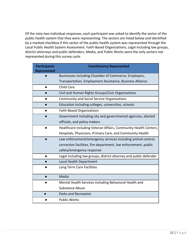Of the sixty-two individual responses, each participant was asked to identify the sector of the public health system that they were representing. The sectors are listed below and identified by a marked checkbox if this sector of the public health system was represented through the Local Public Health System Assessment. Faith-Based Organizations, Legal including law groups, district attorneys and public defenders, Media, and Public Works were the only sectors not represented during this survey cycle.

| <b>Participants</b><br><b>Represented</b> | <b>Constituency Represented</b>                                   |
|-------------------------------------------|-------------------------------------------------------------------|
|                                           | Businesses including Chamber of Commerce, Employers,              |
|                                           | Transportation, Employment Assistance, Business Alliance          |
|                                           | <b>Child Care</b>                                                 |
|                                           | Civil and Human Rights Groups/Civic Organizations                 |
|                                           | <b>Community and Social Service Organizations</b>                 |
|                                           | Education including colleges, universities, schools               |
|                                           | <b>Faith-Based Organizations</b>                                  |
|                                           | Government including city and governmental agencies, elected      |
|                                           | officials, and policy makers                                      |
|                                           | Healthcare including Veteran Affairs, Community Health Centers,   |
|                                           | Hospitals, Physicians, Primary Care, and Community Health         |
|                                           | Law enforcement/emergency services including animal control,      |
|                                           | correction facilities, fire department, law enforcement, public   |
|                                           | safety/emergency response                                         |
|                                           | Legal including law groups, district attorney and public defender |
|                                           | <b>Local Health Department</b>                                    |
|                                           | Long Term Care Facilities                                         |
|                                           | Media                                                             |
|                                           | Mental Health Services including Behavioral Health and            |
|                                           | <b>Substance Abuse</b>                                            |
|                                           | Parks and Recreation                                              |
|                                           | <b>Public Works</b>                                               |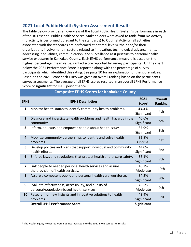# <span id="page-12-0"></span>**2021 Local Public Health System Assessment Results**

The table below provides an overview of the Local Public Health System's performance in each of the 10 Essential Public Health Services. Stakeholders were asked to rank, from No Activity (no activity is performed pursuant to the standards) to Optimal Activity (all activities associated with the standards are performed at optimal levels), their and/or their organizations involvement in sectors related to innovation, technological advancements, addressing inequalities, communication, and surveillance as it pertains to personal health service exposures in Kankakee County. Each EPHS performance measure is based on the highest percentage (mean value) ranked score reported by survey participants. On the chart below the 2021 Performance Score is reported along with the percentage of survey participants which identified this rating. See page 10 for an explanation of the score values. Based on the 2021 Score each EHPS was given an overall ranking based on the participants survey assessments. The average of all EPHS scores resulted in an overall LPHS Performance Score of **significant** for LPHS performance.

| Composite EPHS SCOres for Kankakee County |                                                                                                     |                            |                                  |
|-------------------------------------------|-----------------------------------------------------------------------------------------------------|----------------------------|----------------------------------|
| <b>EPHS</b>                               | <b>EPHS Description</b>                                                                             | 2021<br>Score <sup>3</sup> | <b>Overall</b><br><b>Ranking</b> |
| $\mathbf{1}$                              | Monitor health status to identify community health problems.                                        | 43.0%<br>Significant       | 4th                              |
| $\overline{2}$                            | Diagnose and investigate health problems and health hazards in the<br>community.                    | 40.6%<br>Significant       | 5th                              |
| 3                                         | Inform, educate, and empower people about health issues.                                            | 37.9%<br>Significant       | 6th                              |
| 4                                         | Mobilize community partnerships to identify and solve health<br>problems.                           | 32.8%<br>Optimal           | 1st                              |
| 5.                                        | Develop policies and plans that support individual and community<br>health efforts.                 | 44.0%<br>Significant       | 2nd                              |
| 6                                         | Enforce laws and regulations that protect health and ensure safety.                                 | 36.1%<br>Significant       | 7th                              |
| 7                                         | Link people to needed personal health services and assure<br>the provision of health services.      | 40.2%<br>Moderate          | 10th                             |
| 8                                         | Assure a competent public and personal health care workforce.                                       | 34.2%<br>Significant       | 8th                              |
| 9                                         | Evaluate effectiveness, accessibility, and quality of<br>personal/population-based health services. | 49.5%<br>Moderate          | 9th                              |
| 10                                        | Research for new insights and innovative solutions to health<br>problems.                           | 43.4%<br>Significant       | 3rd                              |
|                                           | <b>Overall LPHS Performance Score</b>                                                               | <b>Significant</b>         |                                  |

#### **Composite EPHS Scores for Kankakee County**

<sup>&</sup>lt;sup>3</sup> The Health Equity Measures were not incorporated into the 2021 EPHS composite results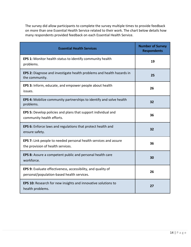The survey did allow participants to complete the survey multiple times to provide feedback on more than one Essential Health Service related to their work. The chart below details how many respondents provided feedback on each Essential Health Service.

| <b>Essential Health Services</b>                                                                           | <b>Number of Survey</b><br><b>Respondents</b> |
|------------------------------------------------------------------------------------------------------------|-----------------------------------------------|
| EPS 1: Monitor health status to identify community health<br>problems.                                     | 19                                            |
| <b>EPS 2:</b> Diagnose and investigate health problems and health hazards in<br>the community.             | 25                                            |
| EPS 3: Inform, educate, and empower people about health<br>issues.                                         | 26                                            |
| EPS 4: Mobilize community partnerships to identify and solve health<br>problems.                           | 32                                            |
| <b>EPS 5:</b> Develop policies and plans that support individual and<br>community health efforts.          | 36                                            |
| EPS 6: Enforce laws and regulations that protect health and<br>ensure safety.                              | 32                                            |
| EPS 7: Link people to needed personal health services and assure<br>the provision of health services.      | 36                                            |
| EPS 8: Assure a competent public and personal health care<br>workforce.                                    | 30                                            |
| EPS 9: Evaluate effectiveness, accessibility, and quality of<br>personal/population-based health services. | 26                                            |
| EPS 10: Research for new insights and innovative solutions to<br>health problems.                          | 27                                            |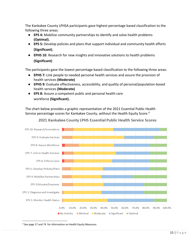The Kankakee County LPHSA participants gave highest percentage based classification to the following three areas:

- **EPS 4:** Mobilize community partnerships to identify and solve health problems **(Optimal).**
- **EPS 5:** Develop policies and plans that support individual and community health efforts **(Significant).**
- **EPHS 10**: Research for new insights and innovative solutions to health problems **(Significant)**

The participants gave the lowest percentage based classification to the following three areas:

- **EPHS 7:** Link people to needed personal health services and assure the provision of health services **(Moderate)**
- **EPHS 9:** Evaluate effectiveness, accessibility, and quality of personal/population-based health services **(Moderate)**
- **EPS 8:** Assure a competent public and personal health care workforce **(Significant).**

The chart below provides a graphic representation of the 2021 Essential Public Health Service percentage scores for Kankakee County, without the Health Equity Score.<sup>4</sup>



2021 Kankakee County LPHS Essential Public Health Service Scores

<sup>4</sup> See page 17 and 74 for information on Health Equity Measures.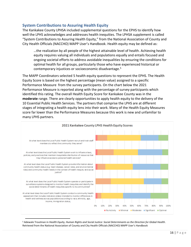#### <span id="page-15-0"></span>**System Contributions to Assuring Health Equity**

The Kankakee County LPHSA included supplemental questions for the EPHS to identify how well the LPHS acknowledges and addresses health inequities. The LPHSA supplement is called "System Contributions to Assuring Health Equity," from the National Association of County and City Health Officials (NACCHO) MAPP User's Handbook. Health equity may be defined as:

…the realization by all people of the highest attainable level of health. Achieving health equity requires valuing all individuals and populations equally and entails focused and ongoing societal efforts to address avoidable inequalities by ensuring the conditions for optimal health for all groups, particularly those who have experienced historical or contemporary injustices or socioeconomic disadvantage.<sup>5</sup>

The MAPP Coordinators selected 5 health equity questions to represent the EPHS. The Health Equity Score is based on the highest percentage (mean value) assigned to a specific Performance Measure from the survey participants. On the chart below the 2021 Performance Measure is reported along with the percentage of survey participants which identified this rating. The overall Health Equity Score for Kankakee County was in the **moderate** range. There are clearly opportunities to apply health equity to the delivery of the 10 Essential Public Health Services. The partners that comprise the LPHS are at different stages of integrating a health equity lens into their work. Many of the Health Equity Measures score far lower than the Performance Measures because this work is new and unfamiliar to many LPHS partners.



<sup>5</sup> Adewale Troutman in *Health Equity, Human Rights and Social Justice: Social Determinants as the Direction for Global Health*. Retrieved from the National Association of County and City Health Officials (NACCHO) MAPP User's Handbook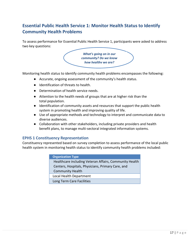# <span id="page-16-0"></span>**Essential Public Health Service 1: Monitor Health Status to Identify Community Health Problems**

To assess performance for Essential Public Health Service 1, participants were asked to address two key questions:

> *What's going on in our community? Do we know how healthy we are?*

Monitoring health status to identify community health problems encompasses the following:

- Accurate, ongoing assessment of the community's health status.
- Identification of threats to health.
- Determination of health service needs.
- Attention to the health needs of groups that are at higher risk than the total population.
- Identification of community assets and resources that support the public health system in promoting health and improving quality of life.
- Use of appropriate methods and technology to interpret and communicate data to diverse audiences.
- Collaboration with other stakeholders, including private providers and health benefit plans, to manage multi-sectoral integrated information systems.

#### **EPHS 1 Constituency Representation**

Constituency represented based on survey completion to assess performance of the local public health system in monitoring health status to identify community health problems included:

| <b>Organization Type</b>                               |
|--------------------------------------------------------|
| Healthcare including Veteran Affairs, Community Health |
| Centers, Hospitals, Physicians, Primary Care, and      |
| <b>Community Health</b>                                |
| Local Health Department                                |
| Long Term Care Facilities                              |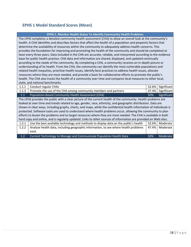#### **EPHS 1 Model Standard Scores (Mean)**

#### **EPHS 1. Monitor Health Status To Identify Community Health Problems**

The LPHS completes a detailed community health assessment (CHA) to allow an overall look at the community's health. A CHA identifies and describes factors that affect the health of a population and pinpoints factors that determine the availability of resources within the community to adequately address health concerns. This provides the foundation for improving and promoting the health of the community and should be completed at least every three years. Data included in the CHA are accurate, reliable, and interpreted according to the evidence base for public health practice. CHA data and information are shared, displayed, and updated continually according to the needs of the community. By completing a CHA, a community receives an in-depth picture or understanding of its health. From the CHA, the community can identify the most vulnerable populations and related health inequities, prioritize health issues, identify best practices to address health issues, allocate resources where they are most needed, and provide a basis for collaborative efforts to promote the public's health. The CHA also tracks the health of a community over time and compares local measures to other local, state, and national benchmarks.

| 1.1.1                                                                                                            | Conduct regular CHAs                                                                                                 | 52.6% | Significant |
|------------------------------------------------------------------------------------------------------------------|----------------------------------------------------------------------------------------------------------------------|-------|-------------|
| 1.1.3                                                                                                            | Promote the use of the CHA among community members and partners                                                      | 47.4% | Significant |
| 1.1                                                                                                              | Population-Based Community Health Assessment (CHA)                                                                   | 50%   | Significant |
|                                                                                                                  | The LPHS provides the public with a clear picture of the current health of the community. Health problems are        |       |             |
|                                                                                                                  | looked at over time and trends related to age, gender, race, ethnicity, and geographic distribution. Data are        |       |             |
|                                                                                                                  | shown in clear ways, including graphs, charts, and maps, while the confidential health information of individuals is |       |             |
| protected. Software tools are used to understand where health problems occur, allowing the community to plan     |                                                                                                                      |       |             |
| efforts to lessen the problems and to target resources where they are most needed. The CHA is available in both  |                                                                                                                      |       |             |
| hard copy and online, and is regularly updated. Links to other sources of information are provided on Web sites. |                                                                                                                      |       |             |
| 1.2.1                                                                                                            | Use the best available technology and methods to display data on the public's health                                 | 52.6% | Moderate    |
| 1.2.2                                                                                                            | Analyze health data, including geographic information, to see where health problems                                  | 47.4% | Moderate    |
|                                                                                                                  | exist                                                                                                                |       |             |
| 1.2                                                                                                              | Current Technology to Manage and Communicate Population Health Data                                                  | 50%   | Moderate    |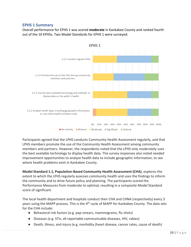#### **EPHS 1 Summary**

Overall performance for EPHS 1 was scored **moderate** in Kankakee County and ranked fourth out of the 10 EPHSs. Two Model Standards for EPHS 1 were surveyed.



Participants agreed that the LPHS conducts Community Health Assessment regularly, and that LPHS members promote the use of the Community Health Assessment among community members and partners. However, the respondents noted that the LPHS only moderately uses the best available technology to display health data. The survey responses also noted needed improvement opportunities to analyze health data to include geographic information, to see where health problems exist in Kankakee County.

**Model Standard 1.1, Population-Based Community Health Assessment (CHA)**, explores the extent to which the LPHS regularly assesses community health and uses the findings to inform the community and to drive future policy and planning. The participants scored the Performance Measures from moderate to optimal, resulting in a composite Model Standard score of significant.

The local health department and hospitals conduct their CHA and CHNA (respectively) every 3 years using the MAPP process. This is the 4<sup>th</sup> cycle of MAPP for Kankakee County. The data sets for the CHA include:

- Behavioral risk factors (e.g. pap smears, mammograms, flu shots)
- Diseases (e.g. STIs, all reportable communicable diseases, HIV, rabies)
- Death, illness, and injury (e.g. morbidity (heart disease, cancer rates, cause of death)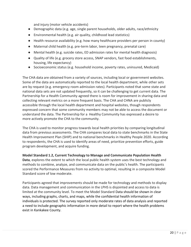and injury (motor vehicle accidents)

- Demographic data (e.g. age, single parent households, older adults, race/ethnicity
- Environmental health (e.g. air quality, childhood lead statistics)
- Health resource availability (e.g. how many healthcare providers per person in county)
- Maternal child health (e.g. pre-term labor, teen pregnancy, prenatal care)
- Mental health (e.g. suicide rates, ED admission rates for mental health diagnosis)
- Quality of life (e.g. grocery store access, SNAP vendors, fast food establishments, housing, life expectancy)
- Socioeconomic status (e.g. household income, poverty rates, uninsured, Medicaid)

The CHA data are obtained from a variety of sources, including local or government websites. Some of the data are automatically reported to the local health department, while other sets are by request (e.g. emergency room admission rates). Participants noted that some state and national data sets are not updated frequently, so it can be challenging to get current data. The Partnership for a Health Community agreed there is room for improvement in sharing data and collecting relevant metrics on a more frequent basis. The CHA and CHNA are publicly accessible through the local health department and hospital websites, though respondents expressed concern that some community members may not be able to access the document or understand the data. The Partnership for a Healthy Community has expressed a desire to more actively promote the CHA to the community.

The CHA is used to monitor progress towards local health priorities by comparing longitudinal data from previous assessments. The CHA compares local data to state benchmarks in the State Health Improvement Plan (SHIP) and to national benchmarks in Healthy People 2020. According to respondents, the CHA is used to identify areas of need, prioritize prevention efforts, guide program development, and acquire funding.

**Model Standard 1.2, Current Technology to Manage and Communicate Population Health Data**, explores the extent to which the local public health system uses the best technology and methods to combine, analyze, and communicate data on the public's health. The participants scored the Performance Measures from no activity to optimal, resulting in a composite Model Standard score of low moderate.

Participants agreed that improvements should be made for technology and methods to display data. Data management and communication in the LPHS is disjointed and access to data is limited at the community level. To meet the Model Standard Data should be shown in clear ways, including graphs, charts, and maps, while the confidential health information of individuals is protected. The survey reported only moderate rates of data analysis and reported a need to include geographic information in more detail to report where the health problems exist in Kankakee County.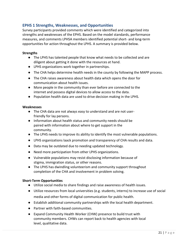#### **EPHS 1 Strengths, Weaknesses, and Opportunities**

Survey participants provided comments which were identified and categorized into strengths and weaknesses of the EPHS. Based on the model standards, performance measures, and comments LPHSA members identified potential short- and long-term opportunities for action throughout the LPHS. A summary is provided below.

#### **Strengths**

- The LPHS has talented people that know what needs to be collected and are diligent about getting it done with the resources at hand.
- LPHS organizations work together in partnerships.
- The CHA helps determine health needs in the county by following the MAPP process.
- The CHA raises awareness about health data which opens the door for communication about health issues.
- More people in the community than ever before are connected to the internet and possess digital devices to allow access to the data.
- Population health data are used to drive decision making in the LPHS.

#### **Weaknesses**

- The CHA data are not always easy to understand and are not userfriendly for lay persons.
- Information about health status and community needs should be paired with information about where to get support in the community.
- The LPHS needs to improve its ability to identify the most vulnerable populations.
- LPHS organizations laack promotion and transparency of CHA results and data.
- Data may be outdated due to needing updated technology.
- Need more participation from other LPHS organizations.
- Vulnerable populations may resist disclosing information because of stigma, immigration status, or other reasons.
- The LPHS has dwindling volunteerism and community support throughout completion of the CHA and involvement in problem solving.

#### **Short-Term Opportunities**

- Utilize social media to share findings and raise awareness of health issues.
- Utilize resources from local universities (e.g. students, interns) to increase use of social media and other forms of digital communication for public health.
- Establish additional community partnerships with the local health department.
- Partner with faith-based communities.
- Expand Community Health Worker (CHW) presence to build trust with community members. CHWs can report back to health agencies with local level, qualitative data.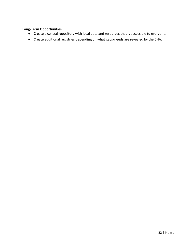#### **Long-Term Opportunities**

- Create a central repository with local data and resources that is accessible to everyone.
- Create additional registries depending on what gaps/needs are revealed by the CHA.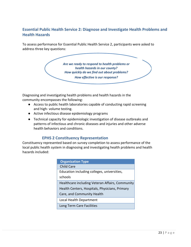# **Essential Public Health Service 2: Diagnose and Investigate Health Problems and Health Hazards**

To assess performance for Essential Public Health Service 2, participants were asked to address three key questions:

> *Are we ready to respond to health problems or health hazards in our county? How quickly do we find out about problems? How effective is our response?*

Diagnosing and investigating health problems and health hazards in the community encompasses the following:

- Access to public health laboratories capable of conducting rapid screening and high- volume testing.
- Active infectious disease epidemiology programs
- Technical capacity for epidemiologic investigation of disease outbreaks and patterns of infectious and chronic diseases and injuries and other adverse health behaviors and conditions.

#### **EPHS 2 Constituency Representation**

Constituency represented based on survey completion to assess performance of the local public health system in diagnosing and investigating health problems and health hazards included:

| <b>Organization Type</b>                        |
|-------------------------------------------------|
| Child Care                                      |
| Education including colleges, universities,     |
| schools                                         |
| Healthcare including Veteran Affairs, Community |
| Health Centers, Hospitals, Physicians, Primary  |
| Care, and Community Health                      |
| Local Health Department                         |
| Long Term Care Facilities                       |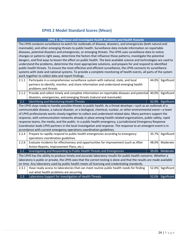# **EPHS 2 Model Standard Scores (Mean)**

| EPHS 2. Diagnose and Investigate Health Problems and Health Hazards                                                     |                                                                                                                       |       |                   |  |
|-------------------------------------------------------------------------------------------------------------------------|-----------------------------------------------------------------------------------------------------------------------|-------|-------------------|--|
| The LPHS conducts surveillance to watch for outbreaks of disease, disasters, and emergencies (both natural and          |                                                                                                                       |       |                   |  |
|                                                                                                                         | manmade), and other emerging threats to public health. Surveillance data include information on reportable            |       |                   |  |
|                                                                                                                         | diseases, potential disasters and emergencies, or emerging threats. The LPHS uses surveillance data to notice         |       |                   |  |
|                                                                                                                         | changes or patterns right away, determine the factors that influence these patterns, investigate the potential        |       |                   |  |
|                                                                                                                         | dangers, and find ways to lessen the effect on public health. The best available science and technologies are used to |       |                   |  |
|                                                                                                                         | understand the problems, determine the most appropriate solutions, and prepare for and respond to identified          |       |                   |  |
|                                                                                                                         | public health threats. To ensure the most effective and efficient surveillance, the LPHS connects its surveillance    |       |                   |  |
|                                                                                                                         | systems with state and national systems. To provide a complete monitoring of health events, all parts of the system   |       |                   |  |
|                                                                                                                         | work together to collect data and report findings.                                                                    |       |                   |  |
| 2.1.1                                                                                                                   | Participate in a comprehensive surveillance system with national, state, and local                                    | 44.0% | Significant       |  |
|                                                                                                                         | partners to identify, monitor, and share information and understand emerging health                                   |       |                   |  |
|                                                                                                                         | problems and threats                                                                                                  |       |                   |  |
| 2.1.2                                                                                                                   | Provide and collect timely and complete information on reportable diseases and potential 40.0%                        |       | Significant       |  |
|                                                                                                                         | disasters, emergencies, and emerging threats (natural and manmade)                                                    |       |                   |  |
| 2.1                                                                                                                     | Identifying and Monitoring Health Threats                                                                             |       | 42.0% Significant |  |
|                                                                                                                         | The LPHS stays ready to handle possible threats to public health. As a threat develops—such as an outbreak of a       |       |                   |  |
|                                                                                                                         | communicable disease, a natural disaster, or a biological, chemical, nuclear, or other environmental event-a team     |       |                   |  |
|                                                                                                                         | of LPHS professionals works closely together to collect and understand related data. Many partners support the        |       |                   |  |
|                                                                                                                         | response, with communication networks already in place among health-related organizations, public safety, rapid       |       |                   |  |
|                                                                                                                         | response teams, the media, and the public. In a public health emergency, a jurisdictional Emergency Response          |       |                   |  |
|                                                                                                                         | Coordinator leads LPHS partners in the local investigation and response. The response to an emergent event is in      |       |                   |  |
| accordance with current emergency operations coordination guidelines.                                                   |                                                                                                                       |       |                   |  |
| 2.2.4                                                                                                                   | Prepare to rapidly respond to public health emergencies according to emergency                                        | 35.7% | Significant       |  |
|                                                                                                                         | operations coordination guidelines                                                                                    |       |                   |  |
| 2.2.6                                                                                                                   | Evaluate incidents for effectiveness and opportunities for improvement (such as After                                 | 48.0% | Moderate          |  |
|                                                                                                                         | Action Reports, Improvement Plans, etc.)                                                                              |       |                   |  |
| 2.2                                                                                                                     | Investigating and Responding to Public Health Threats and Emergencies                                                 | 39.6% | Moderate          |  |
| The LPHS has the ability to produce timely and accurate laboratory results for public health concerns. Whether a        |                                                                                                                       |       |                   |  |
| laboratory is public or private, the LPHS sees that the correct testing is done and that the results are made available |                                                                                                                       |       |                   |  |
| on time. Any laboratory used by public health meets all licensing and credentialing standards.                          |                                                                                                                       |       |                   |  |
| 2.3.1                                                                                                                   | Have ready access to laboratories that can meet routine public health needs for finding                               | 52.0% | Significant       |  |
|                                                                                                                         | out what health problems are occurring                                                                                |       |                   |  |
| $\overline{2.3}$                                                                                                        | Laboratory Support for Investigation of Health Threats                                                                |       | 52.0% Significant |  |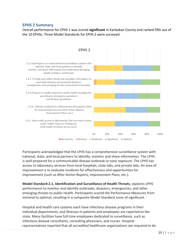#### **EPHS 2 Summary**

Overall performance for EPHS 1 was scored **significant** in Kankakee County and ranked fifth out of the 10 EPHSs. Three Model Standards for EPHS 2 were surveyed.



Participants acknowledged that the LPHS has a comprehensive surveillance system with national, state, and local partners to identify, monitor and share information. The LPHS is well-prepared for a communicable disease outbreak or toxic exposure. The LPHS has access to laboratory services from local hospitals, state labs, and private labs. An area of improvement is to evaluate incidents for effectiveness and opportunities for improvement (such as After Action Reports, Improvement Plans, etc.).

**Model Standard 2.1, Identification and Surveillance of Health Threats**, explores LPHS performance to monitor and identify outbreaks, disasters, emergencies, and other emerging threats to public health. Participants scored the Performance Measures from minimal to optimal, resulting in a composite Model Standard score of significant.

Hospital and health care systems each have infectious disease programs in their individual departments, and illnesses in patients and employees are reported to the state. Many facilities have full-time employees dedicated to surveillance, such as infectious disease consultants, consulting physicians, and nurses. Hospital representatives reported that all accredited healthcare organizations are required to do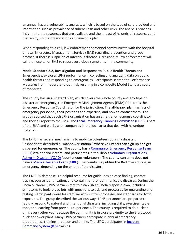an annual hazard vulnerability analysis, which is based on the type of care provided and information such as prevalence of tuberculosis and other risks. The analysis provides insight into the resources that are available and the impact of hazards on resources and the facility, so the organization can develop a plan.

When responding to a call, law enforcement personnel communicate with the hospital or local Emergency Management Service (EMS) regarding prevention and proper protocol if there is suspicion of infectious disease. Occasionally, law enforcement will call the hospital or EMS to report suspicious symptoms in the community.

**Model Standard 2.2, Investigation and Response to Public Health Threats and Emergencies**, explores LPHS performance in collecting and analyzing data on public health threats and responding to emergencies. Participants scored the Performance Measures from moderate to optimal, resulting in a composite Model Standard score of moderate.

The county has an all-hazard plan, which covers the whole county and any type of disaster or emergency; the Emergency Management Agency (EMA) Director is the Emergency Response Coordinator for the jurisdiction. The all-hazard plan has lists of emergency personnel, their positions and expertise, and how to contact them. The group reported that each LPHS organization has an emergency response coordinator and they all report to the EMA. The [Local](http://kankakeecountysheriff.com/divisions/ema/) [Emergency Planning Committee \(LEPC\)](http://kankakeecountysheriff.com/divisions/ema/) [i](http://kankakeecountysheriff.com/divisions/ema/)s part of the EMA and works with companies in the local area that deal with hazardous materials.

The LPHS has several mechanisms to mobilize volunteers during a disaster. Respondents described a "manpower station," where volunteers can sign up and get dispersed for emergencies. The county has a [Community Emergency Response Team](https://www.ready.gov/community-emergency-response-team)  [\(CERT\)](https://www.ready.gov/community-emergency-response-team) [\(](https://www.ready.gov/community-emergency-response-team)trained volunteers) and participates in the Illinois [Voluntary Organizations](https://www.ready.gov/voluntary-organizations-active-disaster)  [Active in Disaster \(VOAD\)](https://www.ready.gov/voluntary-organizations-active-disaster) (spontaneous volunteers). The county currently does not have [a Medical Reserve Corps \(MRC\).](https://mrc.hhs.gov/HomePage) The county may utilize the Red Cross during an emergency, depending on the extent of the disaster.

The I-NEDSS database is a helpful resource for guidelines on case finding, contact tracing, source identification, and containment for communicable diseases. During the Ebola outbreak, LPHS partners met to establish an Ebola response plan, including symptoms to look for, scripts with questions to ask, and processes for quarantine and testing. Participants were less familiar with written processes and standards for toxic exposures. The group described the various ways LPHS personnel are prepared to rapidly respond to natural and intentional disasters, including drills, exercises, table tops, and learning from previous experiences. The county is required to do nuclear drills every other year because the community is in close proximity to the Braidwood nuclear power plant. Many LPHS partners participate in annual emergency preparedness training in-person and online. The LEPC participates in [Incident](https://training.fema.gov/emiweb/is/icsresource/assets/reviewmaterials.pdf) [Command System \(ICS\)](https://training.fema.gov/emiweb/is/icsresource/assets/reviewmaterials.pdf) training.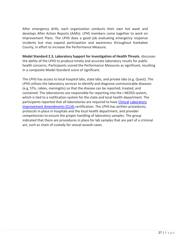After emergency drills, each organization conducts their own hot wash and develops After Action Reports (AARs). LPHS members come together to work on Improvement Plans. The LPHS does a good job evaluating emergency response incidents but may expand participation and awareness throughout Kankakee County, in effort to increase the Performance Measure.

**Model Standard 2.3, Laboratory Support for Investigation of Health Threats**, discusses the ability of the LPHS to produce timely and accurate laboratory results for public health concerns. Participants scored the Performance Measures as significant, resulting in a composite Model Standard score of significant.

The LPHS has access to local hospital labs, state labs, and private labs (e.g. Quest). The LPHS utilizes the laboratory services to identify and diagnose communicable diseases (e.g. STIs, rabies, meningitis) so that the disease can be reported, treated, and contained. The laboratories are responsible for reporting into the I-NEDSS system, which is tied to a notification system for the state and local health department. The participants reported that all laboratories are required to have Clinical Laboratory Improvement Amendments (CLIA) certification. The LPHS has written procedures, protocols in place in hospitals and the local health department, and provider competencies to ensure the proper handling of laboratory samples. The group indicated that there are procedures in place for lab samples that are part of a criminal act, such as chain of custody for sexual assault cases.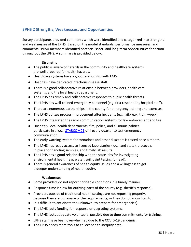# **EPHS 2 Strengths, Weaknesses, and Opportunities**

Survey participants provided comments which were identified and categorized into strengths and weaknesses of the EPHS. Based on the model standards, performance measures, and comments LPHSA members identified potential short- and long-term opportunities for action throughout the LPHS. A summary is provided below.

#### **Strengths**

- The public is aware of hazards in the community and healthcare systems are well prepared for health hazards.
- Healthcare systems have a good relationship with EMS.
- Hospitals have dedicated infectious disease staff.
- There is a good collaborative relationship between providers, health care systems, and the local health department.
- The LPHS has timely and collaborative responses to public health threats.
- The LPHS has well-trained emergency personnel (e.g. first responders, hospital staff).
- There are numerous partnerships in the county for emergency training and exercises.
- The LPHS utilizes process improvement after incidents (e.g. jailbreak, train wreck).
- The LPHS integrated the radio communication systems for law enforcement and fire.
- Hospitals, local health departments, fire, police, and all municipalities participate in a local [STARCOM21](https://www2.illinois.gov/sites/doit/services/catalog/network/Pages/starcom21.aspx) [d](https://www2.illinois.gov/sites/doit/services/catalog/network/Pages/starcom21.aspx)rill every quarter to test emergency communication.
- The early warning system for tornadoes and other disasters is tested once a month.
- The LPHS has ready access to licensed laboratories (local and state), protocols in place for handling samples, and timely lab results.
- The LPHS has a good relationship with the state labs for investigating environmental health (e.g. water, soil, paint testing for lead).
- There is general awareness of health equity issues and a willingness to get a deeper understanding of health equity.

#### **Weaknesses**

- Some providers do not report notifiable conditions in a timely manner.
- Response time is slow for outlying parts of the county (e.g. sheriff's response).
- Providers outside of traditional health settings are not reporting properly, because they are not aware of the requirements, or they do not know how to.
- It is difficult to anticipate the unknown (to prepare for emergencies).
- The LPHS lacks funding for response or upgrading systems.
- The LPHS lacks adequate volunteers, possibly due to time commitments for training.
- LPHS staff have been overwhelmed due to the COVID-19 pandemic.
- The LPHS needs more tools to collect health inequity data.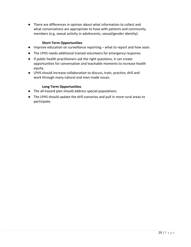● There are differences in opinion about what information to collect and what conversations are appropriate to have with patients and community members (e.g. sexual activity in adolescents, sexual/gender identity).

#### **Short-Term Opportunities**

- Improve education on surveillance reporting what to report and how soon.
- The LPHS needs additional trained volunteers for emergency response.
- If public health practitioners ask the right questions, it can create opportunities for conversation and teachable moments to increase health equity.
- LPHS should increase collaboration to discuss, train, practice, drill and work through many natural and man-made issues.

#### **Long-Term Opportunities**

- The all-hazard plan should address special populations.
- The LPHS should update the drill scenarios and pull in more rural areas to participate.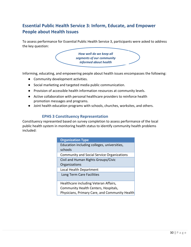# <span id="page-29-0"></span>**Essential Public Health Service 3: Inform, Educate, and Empower People about Health Issues**

To assess performance for Essential Public Health Service 3, participants were asked to address the key question:

> *How well do we keep all segments of our community informed about health issues?*

Informing, educating, and empowering people about health issues encompasses the following:

- Community development activities.
- Social marketing and targeted media public communication.
- Provision of accessible health information resources at community levels.
- Active collaboration with personal healthcare providers to reinforce health promotion messages and programs.
- Joint health education programs with schools, churches, worksites, and others.

#### **EPHS 3 Constituency Representation**

Constituency represented based on survey completion to assess performance of the local public health system in monitoring health status to identify community health problems included:

| <b>Organization Type</b>                          |
|---------------------------------------------------|
| Education including colleges, universities,       |
| schools                                           |
| <b>Community and Social Service Organizations</b> |
| Civil and Human Rights Groups/Civic               |
| Organizations                                     |
| Local Health Department                           |
| Long Term Care Facilities                         |
|                                                   |
| Healthcare including Veteran Affairs,             |
| Community Health Centers, Hospitals,              |
| Physicians, Primary Care, and Community Health    |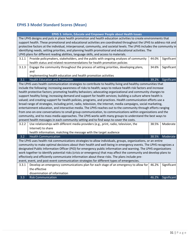# **EPHS 3 Model Standard Scores (Mean)**

| EPHS 3. Inform, Educate and Empower People about Health Issues                                                                                                                                                                          |                                                                                                                         |       |             |  |
|-----------------------------------------------------------------------------------------------------------------------------------------------------------------------------------------------------------------------------------------|-------------------------------------------------------------------------------------------------------------------------|-------|-------------|--|
| The LPHS designs and puts in place health promotion and health education activities to create environments that<br>support health. These promotional and educational activities are coordinated throughout the LPHS to address risk and |                                                                                                                         |       |             |  |
|                                                                                                                                                                                                                                         | protective factors at the individual, interpersonal, community, and societal levels. The LPHS includes the community in |       |             |  |
|                                                                                                                                                                                                                                         | identifying needs, setting priorities, and planning health promotional and educational activities. The                  |       |             |  |
|                                                                                                                                                                                                                                         | LPHS plans for different reading abilities, language skills, and access to materials.                                   |       |             |  |
| 3.1.1                                                                                                                                                                                                                                   | Provide policymakers, stakeholders, and the public with ongoing analyses of community                                   | 44.0% | Significant |  |
|                                                                                                                                                                                                                                         |                                                                                                                         |       |             |  |
|                                                                                                                                                                                                                                         | health status and related recommendations for health promotion policies                                                 |       |             |  |
| 3.1.3                                                                                                                                                                                                                                   | Engage the community throughout the process of setting priorities, developing plans,                                    | 34.6% | Significant |  |
|                                                                                                                                                                                                                                         | and                                                                                                                     |       |             |  |
|                                                                                                                                                                                                                                         | implementing health education and health promotion activities                                                           |       |             |  |
| 3.1                                                                                                                                                                                                                                     | <b>Health Education and Promotion</b>                                                                                   | 39.2% | Significant |  |
|                                                                                                                                                                                                                                         | The LPHS uses health communication strategies to contribute to healthy living and healthy communities that              |       |             |  |
|                                                                                                                                                                                                                                         | include the following: increasing awareness of risks to health; ways to reduce health risk factors and increase         |       |             |  |
|                                                                                                                                                                                                                                         | health protective factors; promoting healthy behaviors; advocating organizational and community changes to              |       |             |  |
|                                                                                                                                                                                                                                         | support healthy living; increasing demand and support for health services; building a culture where health is           |       |             |  |
|                                                                                                                                                                                                                                         | valued; and creating support for health policies, programs, and practices. Health communication efforts use a           |       |             |  |
|                                                                                                                                                                                                                                         | broad range of strategies, including print, radio, television, the Internet, media campaigns, social marketing,         |       |             |  |
|                                                                                                                                                                                                                                         | entertainment education, and interactive media. The LPHS reaches out to the community through efforts ranging           |       |             |  |
| from one-on-one conversations to small group communication, to communications within organizations and the                                                                                                                              |                                                                                                                         |       |             |  |
|                                                                                                                                                                                                                                         | community, and to mass media approaches. The LPHS works with many groups to understand the best ways to                 |       |             |  |
|                                                                                                                                                                                                                                         | present health messages in each community setting and to find ways to cover the costs.                                  |       |             |  |
| 3.2.2                                                                                                                                                                                                                                   | Use relationships with different media providers (e.g., print, radio, television, the                                   | 38.5% | Moderate    |  |
|                                                                                                                                                                                                                                         | Internet) to share                                                                                                      |       |             |  |
|                                                                                                                                                                                                                                         | health information, matching the message with the target audience                                                       |       |             |  |
| 3.2                                                                                                                                                                                                                                     | <b>Health Communication</b>                                                                                             | 38.5% | Moderate    |  |
|                                                                                                                                                                                                                                         | The LPHS uses health risk communications strategies to allow individuals, groups, organizations, or an entire           |       |             |  |
|                                                                                                                                                                                                                                         | community to make optimal decisions about their health and well-being in emergency events. The LPHS recognizes a        |       |             |  |
|                                                                                                                                                                                                                                         | designated Public Information Officer (PIO) for emergency public information and warning. The LPHS organizations        |       |             |  |
|                                                                                                                                                                                                                                         | work together to identify potential risks (crisis or emergency) that may affect the community and develop plans to      |       |             |  |
| effectively and efficiently communicate information about these risks. The plans include pre-                                                                                                                                           |                                                                                                                         |       |             |  |
| event, event, and post-event communication strategies for different types of emergencies.                                                                                                                                               |                                                                                                                         |       |             |  |
| 3.3.1                                                                                                                                                                                                                                   | Develop an emergency communications plan for each stage of an emergency to allow for                                    | 46.2% | Significant |  |
|                                                                                                                                                                                                                                         | the effective                                                                                                           |       |             |  |
|                                                                                                                                                                                                                                         | dissemination of information                                                                                            |       |             |  |
| 3.3                                                                                                                                                                                                                                     | <b>Risk Communication</b>                                                                                               | 46.2% | Significant |  |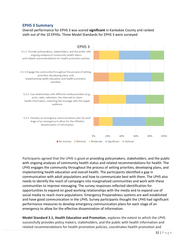#### **EPHS 3 Summary**

Overall performance for EPHS 3 was scored **significant** in Kankakee County and ranked sixth out of the 10 EPHSs. Three Model Standards for EPHS 3 were surveyed



Participants agreed that the LPHS is good at providing policymakers, stakeholders, and the public with ongoing analyses of community health status and related recommendations for health. The LPHS engages the community throughout the process of setting priorities, developing plans, and implementing health education and overall health. The participants identified a gap in communication with adult populations and how to communicate best with them. The LPHS also needs to identify the reach of campaigns into marginalized communities and work with these communities to improve messaging. The survey responses reflected identification for opportunities to expand on good working relationships with the media and to expand use of social media to reach more populations. Emergency Preparedness systems are well established and have good communication in the LPHS. Survey participants thought the LPHS had significant performance measures to develop emergency communication plans for each stage of an emergency to allow for the effective dissemination of information.

**Model Standard 3.1, Health Education and Promotion**, explores the extent to which the LPHS successfully provides policy makers, stakeholders, and the public with health information and related recommendations for health promotion policies, coordinates health promotion and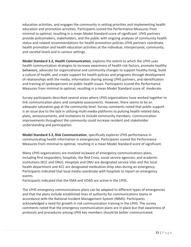education activities, and engages the community in setting priorities and implementing health education and promotion activities. Participants scored the Performance Measures from minimal to optimal, resulting in a mean Model Standard score of significant. LPHS partners provide policymakers, stakeholders, and the public with ongoing analyses of community health status and related recommendations for health promotion policies.LPHS partners coordinate health promotion and health education activities at the individual, interpersonal, community, and societal levels and in various settings.

**Model Standard 3.2, Health Communication**, explores the extent to which the LPHS uses health communication strategies to increase awareness of health risk factors, promote healthy behaviors, advocate for organizational and community changes to support healthy living, build a culture of health, and create support for health policies and programs through development of relationships with the media, information sharing among LPHS partners, and identification and training of spokespersons on public health issues. Participants scored the Performance Measures from minimal to optimal, resulting in a mean Model Standard score of moderate.

Survey participants described several areas where LPHS organizations have worked together to link communication plans and complete assessments. However, there seems to be an adequate saturation gap at the community level. Survey comments noted that public support is an issue due to the lack in utilizing multi-media platforms to pulizing health related data, plans, announcements, and invitations to include community members. Communication improvements throughout the community could increase resident and stakeholder understanding and participation.

**Model Standard 3.3, Risk Communication**, specifically explores LPHS performance in communicating health information in emergencies. Participants scored the Performance Measures from minimal to optimal, resulting in a mean Model Standard score of significant.

Many LPHS organizations are involved in/aware of emergency communications plans, including first responders, hospitals, the Red Cross, social service agencies, and academic institutions (KCC and ONU). Hospitals and ONU are designated service sites and the local health department and KCC are designated medication drop sites during an emergency. Participants indicated that local media coordinate with hospitals to report on emergency events.

Participants indicated that the EMA and VOAD are active in the LPHS.

The LPHS emergency communications plans can be adapted to different types of emergencies and that the plans include established lines of authority for communications teams in accordance with the National Incident Management System (NIMS). Participants acknowledged a need for growth in risk communication training in the LPHS. The survey comments noted that the emergency communication plans are in place but that awareness of protocols and procedures among LPHS key members should be better communicated.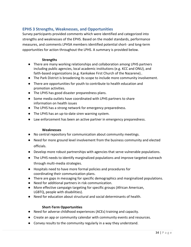#### **EPHS 3 Strengths, Weaknesses, and Opportunities**

Survey participants provided comments which were identified and categorized into strengths and weaknesses of the EPHS. Based on the model standards, performance measures, and comments LPHSA members identified potential short- and long-term opportunities for action throughout the LPHS. A summary is provided below.

#### **Strengths**

- There are many working relationships and collaboration among LPHS partners including public agencies, local academic institutions (e.g. KCC and ONU), and faith-based organizations (e.g. Kankakee First Church of the Nazarene)..
- The Park District is broadening its scope to include more community involvement.
- There are opportunities for youth to contribute to health education and promotion activities.
- The LPHS has good disaster preparedness plans.
- Some media outlets have coordinated with LPHS partners to share information on health issues
- The LPHS has a strong network for emergency preparedness.
- The LPHS has an up-to-date siren warning system.
- Law enforcement has been an active partner in emergency preparedness.

#### **Weaknesses**

- No central repository for communication about community meetings.
- Need for more ground level involvement from the business community and elected officials.
- Develop more robust partnerships with agencies that serve vulnerable populations.
- The LPHS needs to identify marginalized populations and improve targeted outreach through multi-media strategies.
- Hospitals need to have more formal policies and procedures for coordinating their communication plans.
- There are gaps in messaging for specific demographics and marginalized populations.
- Need for additional partners in risk communication.
- More effective campaign targeting for specific groups (African American, LGBTQ, people with disabilities).
- Need for education about structural and social determinants of health.

#### **Short-Term Opportunities**

- Need for adverse childhood experiences (ACEs) training and capacity.
- Create an app or community calendar with community events and resources.
- Convey results to the community regularly in a way they understand.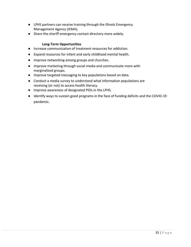- LPHS partners can receive training through the Illinois Emergency Management Agency (IEMA).
- Share the sheriff emergency contact directory more widely.

#### **Long-Term Opportunities**

- Increase communication of treatment resources for addiction.
- Expand resources for infant and early childhood mental health.
- Improve networking among groups and churches.
- Improve marketing through social media and communicate more with marginalized groups.
- Improve targeted messaging to key populations based on data.
- Conduct a media survey to understand what information populations are receiving (or not) to access health literacy.
- Improve awareness of designated PIOs in the LPHS.
- Identify ways to sustain good programs in the face of funding deficits and the COVID-19 pandemic.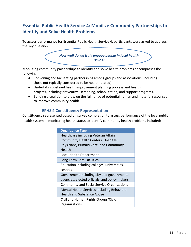# <span id="page-35-0"></span>**Essential Public Health Service 4: Mobilize Community Partnerships to Identify and Solve Health Problems**

To assess performance for Essential Public Health Service 4, participants were asked to address the key question:



Mobilizing community partnerships to identify and solve health problems encompasses the following:

- Convening and facilitating partnerships among groups and associations (including those not typically considered to be health related).
- Undertaking defined health improvement planning process and health projects, including preventive, screening, rehabilitation, and support programs.
- Building a coalition to draw on the full range of potential human and material resources to improve community health.

#### **EPHS 4 Constituency Representation**

Constituency represented based on survey completion to assess performance of the local public health system in monitoring health status to identify community health problems included:

| <b>Organization Type</b>                          |
|---------------------------------------------------|
| Healthcare including Veteran Affairs,             |
| Community Health Centers, Hospitals,              |
| Physicians, Primary Care, and Community           |
| Health                                            |
| Local Health Department                           |
| Long Term Care Facilities                         |
| Education including colleges, universities,       |
| schools                                           |
| Government including city and governmental        |
| agencies, elected officials, and policy makers    |
| <b>Community and Social Service Organizations</b> |
| Mental Health Services including Behavioral       |
| <b>Health and Substance Abuse</b>                 |
| Civil and Human Rights Groups/Civic               |
| Organizations                                     |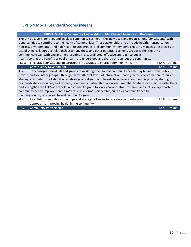# **EPHS 4 Model Standard Scores (Mean)**

| EPHS 4. Mobilize Community Partnerships to Identify and Solve Health Problems                                         |                                                                                                                    |  |       |                |
|-----------------------------------------------------------------------------------------------------------------------|--------------------------------------------------------------------------------------------------------------------|--|-------|----------------|
|                                                                                                                       | The LPHS actively identifies and involves community partners—the individuals and organizations (constituents) with |  |       |                |
|                                                                                                                       | opportunities to contribute to the health of communities. These stakeholders may include health, transportation,   |  |       |                |
|                                                                                                                       | housing, environmental, and non-health related groups, and community members. The LPHS manages the process of      |  |       |                |
|                                                                                                                       | establishing collaborative relationships among these and other potential partners. Groups within the LPHS          |  |       |                |
|                                                                                                                       | communicate well with one another, resulting in a coordinated, effective approach to public                        |  |       |                |
|                                                                                                                       | health, so that the benefits of public health are understood and shared throughout the community.                  |  |       |                |
| 4.1.3                                                                                                                 | Encourage constituents to participate in activities to improve community health                                    |  | 34.4% | Optimal        |
| 4.1                                                                                                                   | <b>Constituency Development</b>                                                                                    |  | 34.4% | Optimal        |
| The LPHS encourages individuals and groups to work together so that community health may be improved. Public,         |                                                                                                                    |  |       |                |
| private, and voluntary groups—through many different levels of information sharing, activity coordination, resource   |                                                                                                                    |  |       |                |
| sharing, and in-depth collaborations—strategically align their interests to achieve a common purpose. By sharing      |                                                                                                                    |  |       |                |
| responsibilities, resources, and rewards, community partnerships allow each member to share its expertise with others |                                                                                                                    |  |       |                |
| and strengthen the LPHS as a whole. A community group follows a collaborative, dynamic, and inclusive approach to     |                                                                                                                    |  |       |                |
|                                                                                                                       | community health improvement; it may exist as a formal partnership, such as a community health                     |  |       |                |
| planning council, or as a less formal community group.                                                                |                                                                                                                    |  |       |                |
| 4.2.1                                                                                                                 | Establish community partnerships and strategic alliances to provide a comprehensive                                |  | 31.3% | Optimal        |
|                                                                                                                       | approach to improving health in the community                                                                      |  |       |                |
| 4.2                                                                                                                   | <b>Community Partnerships</b>                                                                                      |  | 32.8% | <b>Optimal</b> |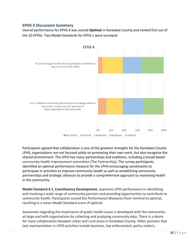## **EPHS 4 Discussion Summary**

Overall performance for EPHS 4 was scored **Optimal** in Kankakee County and ranked first out of the 10 EPHSs. Two Model Standards for EPHS 1 were surveyed.



Participants agreed that collaboration is one of the greatest strengths for the Kankakee County LPHS; organizations are not focused solely on promoting their own work, but also recognize the shared environment. The LPHS has many partnerships and coalitions, including a broad-based community health improvement committee (The Partnership). The survey participants identified an optimal performance measure for the LPHS encouraging constituents to participate in activities to improve community health as well as establishing community partnerships and strategic alliances to provide a comprehensive approach to improving health in the community.

**Model Standard 4.1, Constituency Development,** examines LPHS performance in identifying and involving a wide range of community partners and providing opportunities to contribute to community health. Participants scored the Performance Measures from minimal to optimal, resulting in a mean Model Standard score of optimal.

Awareness regarding the importance of public health issues is developed with the communityat-large and with organizations by collecting and analyzing community data. There is a desire for more collaboration between urban and rural areas in Kankakee County. Other partners that lack representation in LPHS activities include business, law enforcement, policy makers,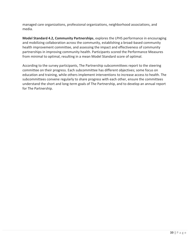managed care organizations, professional organizations, neighborhood associations, and media.

**Model Standard 4.2, Community Partnerships**, explores the LPHS performance in encouraging and mobilizing collaboration across the community, establishing a broad-based community health improvement committee, and assessing the impact and effectiveness of community partnerships in improving community health. Participants scored the Performance Measures from minimal to optimal, resulting in a mean Model Standard score of optimal.

According to the survey participants, The Partnership subcommittees report to the steering committee on their progress. Each subcommittee has different objectives; some focus on education and training, while others implement interventions to increase access to health. The subcommittees convene regularly to share progress with each other, ensure the committees understand the short and long-term goals of The Partnership, and to develop an annual report for The Partnership.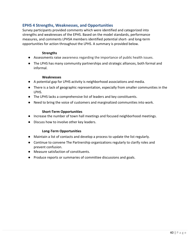## **EPHS 4 Strengths, Weaknesses, and Opportunities**

Survey participants provided comments which were identified and categorized into strengths and weaknesses of the EPHS. Based on the model standards, performance measures, and comments LPHSA members identified potential short- and long-term opportunities for action throughout the LPHS. A summary is provided below.

#### **Strengths**

- Assessments raise awareness regarding the importance of public health issues.
- The LPHS has many community partnerships and strategic alliances, both formal and informal.

#### **Weaknesses**

- A potential gap for LPHS activity is neighborhood associations and media.
- There is a lack of geographic representation, especially from smaller communities in the LPHS.
- The LPHS lacks a comprehensive list of leaders and key constituents.
- Need to bring the voice of customers and marginalized communities into work.

#### **Short-Term Opportunities**

- Increase the number of town hall meetings and focused neighborhood meetings.
- Discuss how to involve other key leaders.

### **Long-Term Opportunities**

- Maintain a list of contacts and develop a process to update the list regularly.
- Continue to convene The Partnership organizations regularly to clarify roles and prevent confusion.
- Measure satisfaction of constituents.
- Produce reports or summaries of committee discussions and goals.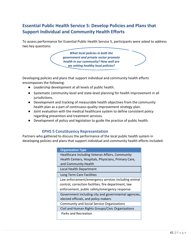# **Essential Public Health Service 5: Develop Policies and Plans that Support Individual and Community Health Efforts**

To assess performance for Essential Public Health Service 5, participants were asked to address two key questions:

> *What local policies in both the government and private sector promote health in our community? How well are we setting healthy local policies?*

Developing policies and plans that support individual and community health efforts encompasses the following:

- Leadership development at all levels of public health.
- Systematic community-level and state-level planning for health improvement in all jurisdictions.
- Development and tracking of measurable health objectives from the community health plan as a part of continuous quality improvement strategy plan.
- Joint evaluation with the medical healthcare system to define consistent policy regarding prevention and treatment services.
- Development of policy and legislation to guide the practice of public health.

## **EPHS 5 Constituency Representation**

Partners who gathered to discuss the performance of the local public health system in developing policies and plans that support individual and community health efforts included:

| <b>Organization Type</b>                                                                                                        |
|---------------------------------------------------------------------------------------------------------------------------------|
| Healthcare including Veteran Affairs, Community<br>Health Centers, Hospitals, Physicians, Primary Care,<br>and Community Health |
| Local Health Department                                                                                                         |
| Long Term Care Facilities                                                                                                       |
| Law enforcement/emergency services including animal                                                                             |
| control, correction facilities, fire department, law                                                                            |
| enforcement, public safety/emergency response                                                                                   |
| Government including city and governmental agencies,                                                                            |
| elected officials, and policy makers                                                                                            |
| <b>Community and Social Service Organizations</b>                                                                               |
| Civil and Human Rights Groups/Civic Organizations                                                                               |
| Parks and Recreation                                                                                                            |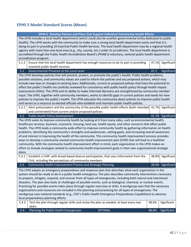# **EPHS 5 Model Standard Scores (Mean)**

|                                                                                                                     | EPHS 5. Develop Policies and Plans that Support Individual Community Health Efforts                                    |       |                   |
|---------------------------------------------------------------------------------------------------------------------|------------------------------------------------------------------------------------------------------------------------|-------|-------------------|
| The LPHS includes a local health department (which could also be another governmental entity dedicated to public    |                                                                                                                        |       |                   |
|                                                                                                                     | health). The LPHS works with the community to make sure a strong local health department exists and that it is         |       |                   |
|                                                                                                                     | doing its part in providing 10 Essential Public Health Services. The local health department may be a regional health  |       |                   |
|                                                                                                                     | agency with more than one local area (e.g., city, county, etc.) under its jurisdiction. The local health department is |       |                   |
|                                                                                                                     | accredited through the Public Health Accreditation Board's (PHAB's) voluntary, national public health department       |       |                   |
|                                                                                                                     | accreditation program.                                                                                                 |       |                   |
| 5.1.3                                                                                                               | Ensure that the local health department has enough resources to do its part in providing                               | 47.1% | Significant       |
|                                                                                                                     | essential public health services                                                                                       |       |                   |
| 5.1                                                                                                                 | <b>Governmental Presence at the Local Level</b>                                                                        | 47.1  | Significant       |
|                                                                                                                     | The LPHS develops policies that will prevent, protect, or promote the public's health. Public health problems,         |       |                   |
|                                                                                                                     | possible solutions, and community values are used to inform the policies and any proposed actions, which may           |       |                   |
|                                                                                                                     | include new laws or changes to existing laws. Additionally, current or proposed policies that have the potential to    |       |                   |
|                                                                                                                     | affect the public's health are carefully reviewed for consistency with public health policy through health impact      |       |                   |
|                                                                                                                     | assessments (HIAs). The LPHS and its ability to make informed decisions are strengthened by community member           |       |                   |
|                                                                                                                     | input. The LPHS, together with community members, works to identify gaps in current policies and needs for new         |       |                   |
|                                                                                                                     | policies to improve the public's health. The LPHS educates the community about policies to improve public health       |       |                   |
|                                                                                                                     | and serves as a resource to elected officials who establish and maintain public health policies.                       |       |                   |
| 5.2.2                                                                                                               | Alert policymakers and the community of the possible public health effects (both intended                              | 41.7% | Significant       |
|                                                                                                                     | and unintended) from current and/or proposed policies                                                                  |       |                   |
| $5.2$                                                                                                               | Public Health Policy Development                                                                                       |       | 41.7% Significant |
|                                                                                                                     | The LPHS seeks to improve community health by looking at it from many sides, such as environmental health,             |       |                   |
| healthcare services, business, economic, housing, land use, health equity, and other concerns that affect public    |                                                                                                                        |       |                   |
|                                                                                                                     | health. The LPHS leads a community-wide effort to improve community health by gathering information on health          |       |                   |
| problems, identifying the community's strengths and weaknesses, setting goals, and increasing overall awareness     |                                                                                                                        |       |                   |
|                                                                                                                     | of and interest in improving the health of the community. This community health improvement process provides           |       |                   |
|                                                                                                                     | ways to develop a community-owned community health improvement plan (CHIP) that will lead to a healthier               |       |                   |
|                                                                                                                     | community. With the community health improvement effort in mind, each organization in the LPHS makes an                |       |                   |
| effort to include strategies related to community health improvement goals in their own organizational strategic    |                                                                                                                        |       |                   |
| plans.                                                                                                              |                                                                                                                        |       |                   |
| 5.3.1                                                                                                               | Establish a CHIP, with broad-based diverse participation, that uses information from the                               | 38.9% | Significant       |
|                                                                                                                     | CHA, including the perceptions of community members                                                                    |       |                   |
| 5.3                                                                                                                 | Community Health Improvement Process and Strategic Planning                                                            |       | 38.9% Significant |
|                                                                                                                     | The LPHS adopts an emergency preparedness and response plan that describes what each organization in the               |       |                   |
|                                                                                                                     | system should be ready to do in a public health emergency. The plan describes community interventions necessary        |       |                   |
|                                                                                                                     | to prepare, mitigate, respond, and recover from all types of emergencies, including both natural and intentional       |       |                   |
|                                                                                                                     | disasters. The plan also looks at challenges of possible events, such as biological, chemical, or nuclear events.      |       |                   |
| Practicing for possible events takes place through regular exercises or drills. A workgroup sees that the necessary |                                                                                                                        |       |                   |
| organizations and resources are included in the planning and practicing for all types of emergencies. The           |                                                                                                                        |       |                   |
|                                                                                                                     | workgroup uses national standards (e.g., CDC's Public Health Emergency Preparedness Capabilities) to advance           |       |                   |
|                                                                                                                     | local preparedness planning efforts.                                                                                   |       |                   |
| 5.4.3                                                                                                               | Test the plan through regular drills and revise the plan as needed, at least every two                                 | 48.6% | Significant       |
|                                                                                                                     | years                                                                                                                  |       |                   |
| 5.4                                                                                                                 | Planning for Public Health Emergencies<br><b>OPTIMAL</b>                                                               | 48.6% | Significant       |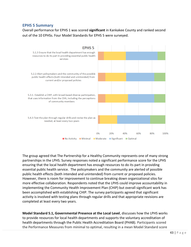## **EPHS 5 Summary**

Overall performance for EPHS 1 was scored **significant** in Kankakee County and ranked second out of the 10 EPHSs. Four Model Standards for EPHS 5 were surveyed.



The group agreed that The Partnership for a Healthy Community represents one of many strong partnerships in the LPHS. Survey responses noted a significant performance score for the LPHS ensuring that the local health department has enough resources to do its part in providing essential public health service. The policymakers and the community are alerted of possible public health effects (both intended and unintended) from current or proposed policies. However, there is room for improvement to continue breaking down organizational silos for more effective collaboration. Respondents noted that the LPHS could improve accountability in implementing the Community Health Improvement Plan (CHIP) but overall significant work has been accomplished with establishing CHIP. The survey participants agreed that significant activity is involved with testing plans through regular drills and that appropriate revisions are completed at least every two years.

**Model Standard 5.1, Governmental Presence at the Local Level**, discusses how the LPHS works to provide resources for local health departments and supports the voluntary accreditation of health departments through the Public Health Accreditation Board (PHAB). Participants scored the Performance Measures from minimal to optimal, resulting in a mean Model Standard score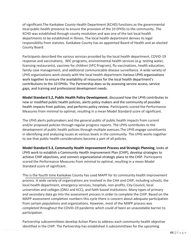of significant.The Kankakee County Health Department (KCHD) functions as the governmental local public health presence to ensure the provision of the 10 EPHSs to the community. The KCHD was established through county resolution and was one of the last local health departments to be established in Illinois. The local health department derives its legal responsibility from statutes. Kankakee County has an appointed Board of Health and an elected County Board.

Participants described the various services provided by the local health department, COVID-19 response and vaccinations, WIC programs, environmental health services (e.g. testing water, licensing restaurants), vaccines for children (VFC Program), flu vaccinations, health education, family case management, and additional communicable disease surveillance. A wide variety of LPHS organizations work closely with the local health department.Various LPHS organizations work together to ensure the availability of resources for the local health department's contributions to the 10 EPHSs. The Partnership does so by assessing service access, service gaps, and training and professional development needs.

**Model Standard 5.2, Public Health Policy Development**, discussed how the LPHS contributes to new or modified public health policies, alerts policy makers and the community of possible health impacts from policies, and performs policy review. Participants scored the Performance Measures from minimal to optimal, resulting in a mean Model Standard score of significant.

The LPHS alerts policymakers and the general public of public health impacts from current and/or proposed policies through regular progress reports. The LPHS contributes to the development of public health policies through multiple avenues.The LPHS engage constituents in identifying and analyzing issues at various levels in the community. The LPHS works together to see that public health considerations become a part of all policies.

**Model Standard 5.3, Community Health Improvement Process and Strategic Planning**, looks at LPHS work to establish a Community Health Improvement Plan (CHIP), develop strategies to achieve CHIP objectives, and connect organizational strategic plans to the CHIP. Participants scored the Performance Measures from minimal to optimal, resulting in a mean Model Standard score of significant.

This is the fourth time Kankakee County has used MAPP for its community health improvement process. A wide variety of organizations are involved in the CHA and CHIP, including schools, the local health department, emergency services, hospitals, non-profits, City Council, local universities and colleges (ONU and KCC), and faith-based institutions. Many types of primary and secondary data go into the assessment process in order to complete the CHIP. Based on the MAPP assessment completion numbers this cycle there is concern about adequate participation from certain populations and organizations. However, most of the MAPP process was completed throughout the COVID-19 pandemic which could of been an unavoidable barrier to participation.

Partnership subcommittees develop Action Plans to address each community health objective identified in the CHIP. The Partnership has established 3 subcommittees for the upcoming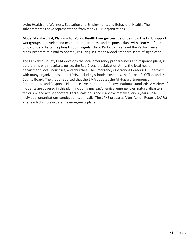cycle: Health and Wellness, Education and Employment, and Behavioral Health. The subcommittees have representation from many LPHS organizations.

**Model Standard 5.4, Planning for Public Health Emergencies**, describes how the LPHS supports workgroups to develop and maintain preparedness and response plans with clearly defined protocols, and tests the plans through regular drills. Participants scored the Performance Measures from minimal to optimal, resulting in a mean Model Standard score of significant.

The Kankakee County EMA develops the local emergency preparedness and response plans, in partnership with hospitals, police, the Red Cross, the Salvation Army, the local health department, local industries, and churches. The Emergency Operations Center (EOC) partners with many organizations in the LPHS, including schools, hospitals, the Coroner's Office, and the County Board. The group reported that the EMA updates the All-Hazard Emergency Preparedness and Response Plan once a year and that it follows national standards. A variety of incidents are covered in this plan, including nuclear/chemical emergencies, natural disasters, terrorism, and active shooters. Large scale drills occur approximately every 3 years while individual organizations conduct drills annually. The LPHS prepares After-Action Reports (AARs) after each drill to evaluate the emergency plans.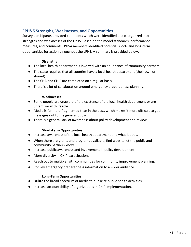## **EPHS 5 Strengths, Weaknesses, and Opportunities**

Survey participants provided comments which were identified and categorized into strengths and weaknesses of the EPHS. Based on the model standards, performance measures, and comments LPHSA members identified potential short- and long-term opportunities for action throughout the LPHS. A summary is provided below.

#### **Strengths**

- The local health department is involved with an abundance of community partners.
- The state requires that all counties have a local health department (their own or shared).
- The CHA and CHIP are completed on a regular basis.
- There is a lot of collaboration around emergency preparedness planning.

#### **Weaknesses**

- Some people are unaware of the existence of the local health department or are unfamiliar with its role.
- Media is far more fragmented than in the past, which makes it more difficult to get messages out to the general public.
- There is a general lack of awareness about policy development and review.

#### **Short-Term Opportunities**

- Increase awareness of the local health department and what it does.
- When there are grants and programs available, find ways to let the public and community partners know.
- Increase public awareness and involvement in policy development.
- More diversity in CHIP participation.
- Reach out to multiple faith communities for community improvement planning.
- Convey emergency preparedness information to a wider audience.

#### **Long-Term Opportunities**

- Utilize the broad spectrum of media to publicize public health activities.
- Increase accountability of organizations in CHIP implementation.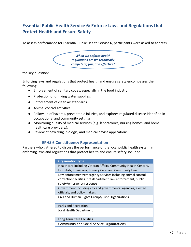# **Essential Public Health Service 6: Enforce Laws and Regulations that Protect Health and Ensure Safety**

To assess performance for Essential Public Health Service 6, participants were asked to address



the key question:

Enforcing laws and regulations that protect health and ensure safety encompasses the following:

- Enforcement of sanitary codes, especially in the food industry.
- Protection of drinking water supplies.
- Enforcement of clean air standards.
- Animal control activities
- Follow up of hazards, preventable injuries, and explores regulated disease identified in occupational and community settings.
- Monitoring quality of medical services (e.g. laboratories, nursing homes, and home healthcare providers.).
- Review of new drug, biologic, and medical device applications.

### **EPHS 6 Constituency Representation**

Partners who gathered to discuss the performance of the local public health system in enforcing laws and regulations that protect health and ensure safety included:

| <b>Organization Type</b>                                                                                                                                     |
|--------------------------------------------------------------------------------------------------------------------------------------------------------------|
| Healthcare including Veteran Affairs, Community Health Centers,<br>Hospitals, Physicians, Primary Care, and Community Health                                 |
| Law enforcement/emergency services including animal control,<br>correction facilities, fire department, law enforcement, public<br>safety/emergency response |
| Government including city and governmental agencies, elected<br>officials, and policy makers                                                                 |
| Civil and Human Rights Groups/Civic Organizations                                                                                                            |
| Parks and Recreation                                                                                                                                         |
| Local Health Department                                                                                                                                      |
| Long Term Care Facilities                                                                                                                                    |
| <b>Community and Social Service Organizations</b>                                                                                                            |
|                                                                                                                                                              |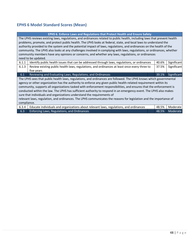# **EPHS 6 Model Standard Scores (Mean)**

| <b>EPHS 6. Enforce Laws and Regulations that Protect Health and Ensure Safety</b>                                        |  |       |             |
|--------------------------------------------------------------------------------------------------------------------------|--|-------|-------------|
| The LPHS reviews existing laws, regulations, and ordinances related to public health, including laws that prevent health |  |       |             |
| problems, promote, and protect public health. The LPHS looks at federal, state, and local laws to understand the         |  |       |             |
| authority provided to the system and the potential impact of laws, regulations, and ordinances on the health of the      |  |       |             |
| community. The LPHS also looks at any challenges involved in complying with laws, regulations, or ordinances, whether    |  |       |             |
| community members have any opinions or concerns, and whether any laws, regulations, or ordinances                        |  |       |             |
| need to be updated.                                                                                                      |  |       |             |
| 6.1.1<br>Identify public health issues that can be addressed through laws, regulations, or ordinances                    |  | 40.6% | Significant |
| Review existing public health laws, regulations, and ordinances at least once every three to<br>6.1.3                    |  | 37.5% | Significant |
| five years                                                                                                               |  |       |             |
| Reviewing and Evaluating Laws, Regulations, and Ordinances<br>6.1                                                        |  | 39.1% | Significant |
| The LPHS sees that public health laws, regulations, and ordinances are followed. The LPHS knows which governmental       |  |       |             |
| agency or other organization has the authority to enforce any given public health-related requirement within its         |  |       |             |
| community, supports all organizations tasked with enforcement responsibilities, and ensures that the enforcement is      |  |       |             |
| conducted within the law. The LPHS has sufficient authority to respond in an emergency event. The LPHS also makes        |  |       |             |
| sure that individuals and organizations understand the requirements of                                                   |  |       |             |
| relevant laws, regulation, and ordinances. The LPHS communicates the reasons for legislation and the importance of       |  |       |             |
| compliance.                                                                                                              |  |       |             |
|                                                                                                                          |  |       |             |
| Educate individuals and organizations about relevant laws, regulations, and ordinances<br>6.3.4                          |  | 48.5% | Moderate    |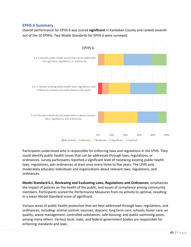## **EPHS 6 Summary**

Overall performance for EPHS 6 was scored **significant** in Kankakee County and ranked seventh out of the 10 EPHSs. Two Model Standards for EPHS 6 were surveyed.



Participants understood who is responsible for enforcing laws and regulations in the LPHS. They could identify public health issues that can be addressed through laws, regulations, or ordinances. survey participants reported a significant level of reviewing existing public health laws, regulations, adn ordinances at least once every three to five years. The LPHS only moderately educates individuals and organizations about relevant laws, regulations, and ordinances.

**Model Standard 6.1, Reviewing and Evaluating Laws, Regulations and Ordinances**, emphasizes the impact of policies on the health of the public, and issues of compliance among community members. Participants scored the Performance Measures from no activity to optimal, resulting in a mean Model Standard score of significant.

Various areas of public health protection that are best addressed through laws, regulations, and ordinances, including: animal control; vaccines; daycare; long term care; schools; foster care; air quality; waste management; controlled substances; safe housing; and public swimming pools, among many others. Various local, state, and federal government bodies are responsible for enforcing standards and laws.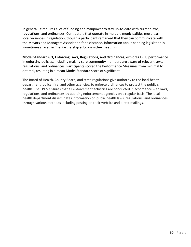In general, it requires a lot of funding and manpower to stay up-to-date with current laws, regulations, and ordinances. Contractors that operate in multiple municipalities must learn local variances in regulation, though a participant remarked that they can communicate with the Mayors and Managers Association for assistance. Information about pending legislation is sometimes shared in The Partnership subcommittee meetings.

**Model Standard 6.3, Enforcing Laws, Regulations, and Ordinances**, explores LPHS performance in enforcing policies, including making sure community members are aware of relevant laws, regulations, and ordinances. Participants scored the Performance Measures from minimal to optimal, resulting in a mean Model Standard score of significant.

The Board of Health, County Board, and state regulations give authority to the local health department, police, fire, and other agencies, to enforce ordinances to protect the public's health. The LPHS ensures that all enforcement activities are conducted in accordance with laws, regulations, and ordinances by auditing enforcement agencies on a regular basis. The local health department disseminates information on public health laws, regulations, and ordinances through various methods including posting on their website and direct mailings.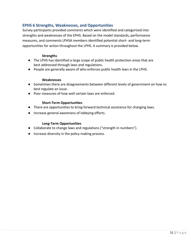## **EPHS 6 Strengths, Weaknesses, and Opportunities**

Survey participants provided comments which were identified and categorized into strengths and weaknesses of the EPHS. Based on the model standards, performance measures, and comments LPHSA members identified potential short- and long-term opportunities for action throughout the LPHS. A summary is provided below.

#### **Strengths**

- The LPHS has identified a large scope of public health protection areas that are best addressed through laws and regulations.
- People are generally aware of who enforces public health laws in the LPHS.

#### **Weaknesses**

- Sometimes there are disagreements between different levels of government on how to best regulate an issue.
- Poor measures of how well certain laws are enforced.

### **Short-Term Opportunities**

- There are opportunities to bring forward technical assistance for changing laws.
- Increase general awareness of lobbying efforts.

### **Long-Term Opportunities**

- Collaborate to change laws and regulations ("strength in numbers").
- Increase diversity in the policy making process.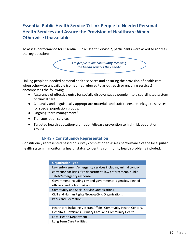# **Essential Public Health Service 7: Link People to Needed Personal Health Services and Assure the Provision of Healthcare When Otherwise Unavailable**

To assess performance for Essential Public Health Service 7, participants were asked to address the key question:



Linking people to needed personal health services and ensuring the provision of health care when otherwise unavailable (sometimes referred to as outreach or enabling services) encompasses the following:

- Assurance of effective entry for socially disadvantaged people into a coordinated system of clinical care.
- Culturally and linguistically appropriate materials and staff to ensure linkage to services for special population groups.
- Ongoing "care management"
- Transportation services
- Targeted health education/promotion/disease prevention to high-risk population groups

## **EPHS 7 Constituency Representation**

Constituency represented based on survey completion to assess performance of the local public health system in monitoring health status to identify community health problems included:

| <b>Organization Type</b>                                                                                                                                     |
|--------------------------------------------------------------------------------------------------------------------------------------------------------------|
| Law enforcement/emergency services including animal control,<br>correction facilities, fire department, law enforcement, public<br>safety/emergency response |
| Government including city and governmental agencies, elected<br>officials, and policy makers                                                                 |
| <b>Community and Social Service Organizations</b>                                                                                                            |
| Civil and Human Rights Groups/Civic Organizations                                                                                                            |
| <b>Parks and Recreation</b>                                                                                                                                  |
| Healthcare including Veteran Affairs, Community Health Centers,<br>Hospitals, Physicians, Primary Care, and Community Health                                 |
| Local Health Department                                                                                                                                      |
| Long Term Care Facilities                                                                                                                                    |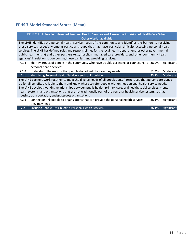# **EPHS 7 Model Standard Scores (Mean)**

| EPHS 7. Link People to Needed Personal Health Services and Assure the Provision of Health Care When                |                                                                                                                  |  |          |             |
|--------------------------------------------------------------------------------------------------------------------|------------------------------------------------------------------------------------------------------------------|--|----------|-------------|
|                                                                                                                    | <b>Otherwise Unavailable</b>                                                                                     |  |          |             |
|                                                                                                                    | The LPHS identifies the personal health service needs of the community and identifies the barriers to receiving  |  |          |             |
|                                                                                                                    | these services, especially among particular groups that may have particular difficulty accessing personal health |  |          |             |
|                                                                                                                    | services. The LPHS has defined roles and responsibilities for the local health department (or other governmental |  |          |             |
|                                                                                                                    | public health entity) and other partners (e.g., hospitals, managed care providers, and other community health    |  |          |             |
|                                                                                                                    | agencies) in relation to overcoming these barriers and providing services.                                       |  |          |             |
| 7.1.1                                                                                                              | Identify groups of people in the community who have trouble accessing or connecting to                           |  | 38.9%    | Significant |
|                                                                                                                    | personal health services                                                                                         |  |          |             |
| 7.1.4                                                                                                              | Understand the reasons that people do not get the care they need?<br>51.4%                                       |  | Moderate |             |
| 7.1                                                                                                                | Identifying Personal Health Service Needs of Populations<br>43.7%                                                |  | Moderate |             |
| The LPHS partners work together to meet the diverse needs of all populations. Partners see that persons are signed |                                                                                                                  |  |          |             |
| up for all benefits available to them and know where to refer people with unmet personal health service needs.     |                                                                                                                  |  |          |             |
| The LPHS develops working relationships between public health, primary care, oral health, social services, mental  |                                                                                                                  |  |          |             |
| health systems, and organizations that are not traditionally part of the personal health service system, such as   |                                                                                                                  |  |          |             |
| housing, transportation, and grassroots organizations.                                                             |                                                                                                                  |  |          |             |
| 7.2.1                                                                                                              | Connect or link people to organizations that can provide the personal health services                            |  | 36.1%    | Significant |
|                                                                                                                    | they may need                                                                                                    |  |          |             |
| 7.2                                                                                                                | Ensuring People Are Linked to Personal Health Services                                                           |  | 36.1%    | Significant |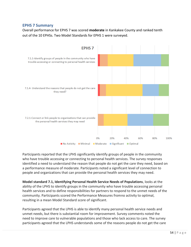## **EPHS 7 Summary**

Overall performance for EPHS 7 was scored **moderate** in Kankakee County and ranked tenth out of the 10 EPHSs. Two Model Standards for EPHS 1 were surveyed.



Participants reported that the LPHS significantly identify groups of people in the community who have trouble accessing or connecting to personal health services. The survey responses identified a need to understand the reason that people do not get the care they need, based on a performance measure of moderate. Participants noted a significant level of connection to people and organizations that can provide the personal health services they may need.

**Model standard 7.1, Identifying Personal Health Service Needs of Populations**, looks at the ability of the LPHS to identify groups in the community who have trouble accessing personal health services and to define responsibilities for partners to respond to the unmet needs of the community. Participants scored the Performance Measures fromno activity to optimal, resulting in a mean Model Standard score of significant.

Participants agreed that the LPHS is able to identify many personal health service needs and unmet needs, but there is substantial room for improvement. Survey comments noted the need to improve care to vulnerable populations and those who lack access to care. The survey participants agreed that the LPHS understands some of the reasons people do not get the care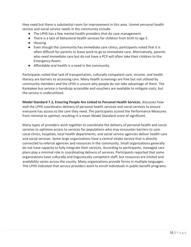they need but there is substantial room for improvement in this area. Unmet personal health service and social service needs in the community include:

- The LPHS has a few mental health providers that do case management.
- There is a lack of behavioral health services for children from birth to age 5.
- Housing
- Even though the community has immediate care clinics, participants noted that it is often difficult for parents to leave work to go to immediate care. Alternatively, parents who need immediate care but do not have a PCP will often take their children to the Emergency Room.
- Affordable oral health is a need in the community.

Participants noted that lack of transportation, culturally competent care, income, and health literacy are barriers to accessing care. Many health screenings are free but not utilized by community members and the LPHS is unsure why people do not take advantage of them. The Kankakee bus service is handicap accessible and vouchers are available to mitigate costs, but the service is underutilized.

**Model Standard 7.2, Ensuring People Are Linked to Personal Health Services**, discusses how well the LPHS coordinates delivery of personal health services and social services to ensure everyone has access to the care they need. The participants scored the Performance Measures from minimal to optimal, resulting in a mean Model Standard score of significant.

Many types of providers work together to coordinate the delivery of personal health and social services to optimize access to services for populations who may encounter barriers to care. Local clinics, hospitals, local health departments, and social service agencies deliver health care and social services. Some large organizations have a central intake service that is directly connected to referral agencies and resources in the community. Small organizations generally do not have capacity to fully integrate their services. According to participants, managed care plans play a minimal role in coordinating delivery of services. Participants reported that some organizations have culturally and linguistically competent staff, but resources are limited and availability varies across the county. Many organizations provide forms in multiple languages. THe LPHS indicated that service providers work to enroll individuals in public benefit programs.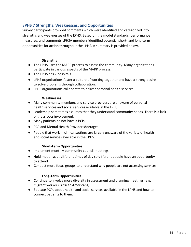## **EPHS 7 Strengths, Weaknesses, and Opportunities**

Survey participants provided comments which were identified and categorized into strengths and weaknesses of the EPHS. Based on the model standards, performance measures, and comments LPHSA members identified potential short- and long-term opportunities for action throughout the LPHS. A summary is provided below.

#### **Strengths**

- The LPHS uses the MAPP process to assess the community. Many organizations participate in various aspects of the MAPP process.
- The LPHS has 2 hospitals.
- LPHS organizations foster a culture of working together and have a strong desire to solve problems through collaboration.
- LPHS organizations collaborate to deliver personal health services.

#### **Weaknesses**

- Many community members and service providers are unaware of personal health services and social services available in the LPHS.
- Leadership sometimes assumes that they understand community needs. There is a lack of grassroots involvement.
- Many patients do not have a PCP.
- PCP and Mental Health Provider shortages
- People that work in clinical settings are largely unaware of the variety of health and social services available in the LPHS.

#### **Short-Term Opportunities**

- Implement monthly community council meetings.
- Hold meetings at different times of day so different people have an opportunity to attend.
- Conduct more focus groups to understand why people are not accessing services.

#### **Long-Term Opportunities**

- Continue to involve more diversity in assessment and planning meetings (e.g. migrant workers, African Americans).
- Educate PCPs about health and social services available in the LPHS and how to connect patients to them.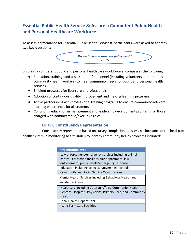# **Essential Public Health Service 8: Assure a Competent Public Health and Personal Healthcare Workforce**

To assess performance for Essential Public Health Service 8, participants were asked to address two key questions:



Ensuring a competent public and personal health care workforce encompasses the following:

- Education, training, and assessment of personnel (including volunteers and other lay community health workers) to meet community needs for public and personal health services.
- Efficient processes for licensure of professionals.
- Adoption of continuous quality improvement and lifelong learning programs.
- Active partnerships with professional training programs to ensure community-relevant learning experiences for all students.
- Continuing education in management and leadership development programs for those charged with administrative/executive roles.

## **EPHS 8 Constituency Representation**

Constituency represented based on survey completion to assess performance of the local public health system in monitoring health status to identify community health problems included:

| <b>Organization Type</b>                                    |
|-------------------------------------------------------------|
| Law enforcement/emergency services including animal         |
| control, correction facilities, fire department, law        |
| enforcement, public safety/emergency response               |
| Education including colleges, universities, schools         |
| <b>Community and Social Service Organizations</b>           |
| Mental Health Services including Behavioral Health and      |
| Substance Abuse                                             |
| Healthcare including Veteran Affairs, Community Health      |
| Centers, Hospitals, Physicians, Primary Care, and Community |
| Health                                                      |
| Local Health Department                                     |
| Long Term Care Facilities                                   |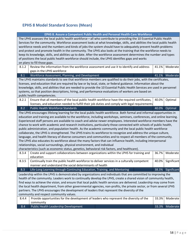# **EPHS 8 Model Standard Scores (Mean)**

|                                                                                                                         | EPHS 8. Assure a Competent Public Health and Personal Health Care Workforce                                               |  |       |             |
|-------------------------------------------------------------------------------------------------------------------------|---------------------------------------------------------------------------------------------------------------------------|--|-------|-------------|
| The LPHS assesses the local public health workforce-all who contribute to providing the 10 Essential Public Health      |                                                                                                                           |  |       |             |
| Services for the community. Workforce assessment looks at what knowledge, skills, and abilities the local public health |                                                                                                                           |  |       |             |
|                                                                                                                         | workforce needs and the numbers and kinds of jobs the system should have to adequately prevent health problems            |  |       |             |
|                                                                                                                         | and protect and promote health in the community. The LPHS also looks at the training that the workforce needs to          |  |       |             |
|                                                                                                                         | keep its knowledge, skills, and abilities up to date. After the workforce assessment determines the number and types      |  |       |             |
|                                                                                                                         | of positions the local public health workforce should include, the LPHS identifies gaps and works                         |  |       |             |
|                                                                                                                         | on plans to fill those gaps.                                                                                              |  |       |             |
| 8.1.2                                                                                                                   | Review the information from the workforce assessment and use it to identify and address                                   |  | 41.1% | Moderate    |
|                                                                                                                         | gaps in the LPHS workforce                                                                                                |  |       |             |
| 8.1                                                                                                                     | Workforce Assessment, Planning, and Development                                                                           |  | 41.1% | Moderate    |
|                                                                                                                         | The LPHS maintains standards to see that workforce members are qualified to do their jobs, with the certificates,         |  |       |             |
|                                                                                                                         | licenses, and education that are required by law or by local, state, or federal guidance. Information about the           |  |       |             |
|                                                                                                                         | knowledge, skills, and abilities that are needed to provide the 10 Essential Public Health Services are used in personnel |  |       |             |
|                                                                                                                         | systems, so that position descriptions, hiring, and performance evaluations of workers are based on                       |  |       |             |
|                                                                                                                         | public health competencies.                                                                                               |  |       |             |
| 8.2.1                                                                                                                   | Ensure that all members of the local public health workforce have the required certificates,                              |  | 40.0% | Optimal     |
|                                                                                                                         | licenses, and education needed to fulfill their job duties and comply with legal requirements                             |  |       |             |
| 8.2                                                                                                                     | Public Health Workforce Standards                                                                                         |  | 40.0% | Optimal     |
|                                                                                                                         | The LPHS encourages lifelong learning for the local public health workforce. Both formal and informal opportunities in    |  |       |             |
|                                                                                                                         | education and training are available to the workforce, including workshops, seminars, conferences, and online learning.   |  |       |             |
| Experienced staff persons are available to coach and advise newer employees. Interested workforce members have the      |                                                                                                                           |  |       |             |
| chance to work with academic and research institutions, particularly those connected with schools of public health,     |                                                                                                                           |  |       |             |
| public administration, and population health. As the academic community and the local public health workforce           |                                                                                                                           |  |       |             |
| collaborate, the LPHS is strengthened. The LPHS trains its workforce to recognize and address the unique culture,       |                                                                                                                           |  |       |             |
| language, and health literacy of diverse consumers and communities and to respect all members of the community.         |                                                                                                                           |  |       |             |
|                                                                                                                         | The LPHS also educates its workforce about the many factors that can influence health, including interpersonal            |  |       |             |
|                                                                                                                         | relationships, social surroundings, physical environment, and individual                                                  |  |       |             |
| characteristics (such as economic status, genetics, behavioral risk factors, and healthcare).                           |                                                                                                                           |  |       |             |
| 8.3.4                                                                                                                   | Create and support collaborations between organizations within the LPHS for training and                                  |  | 36.7% | Moderate    |
|                                                                                                                         | education                                                                                                                 |  |       |             |
| 8.3.5                                                                                                                   | Continually train the public health workforce to deliver services in a culturally competent                               |  | 40.0% | Significant |
|                                                                                                                         | manner and understand the social determinants of health                                                                   |  |       |             |
| 8.3                                                                                                                     | Life-Long Learning through Continuing Education, Training, and Mentoring                                                  |  | 38.3% | Significant |
|                                                                                                                         | Leadership within the LPHS is demonstrated by organizations and individuals that are committed to improving the           |  |       |             |
| health of the community. Leaders work to continually develop the LPHS, create a shared vision of community health,      |                                                                                                                           |  |       |             |
| find ways to achieve the vision, and ensure that local public health services are delivered. Leadership may come from   |                                                                                                                           |  |       |             |
| the local health department, from other governmental agencies, non-profits, the private sector, or from several LPHS    |                                                                                                                           |  |       |             |
| partners. The LPHS encourages the development of leaders that represent the diversity of the                            |                                                                                                                           |  |       |             |
| community and respect community values.                                                                                 |                                                                                                                           |  |       |             |
| 8.4.4                                                                                                                   | Provide opportunities for the development of leaders who represent the diversity of the                                   |  | 33.3% | Moderate    |
|                                                                                                                         | community                                                                                                                 |  |       |             |
| 8.4                                                                                                                     | Public Health Leadership Development                                                                                      |  | 33.3% | Moderate    |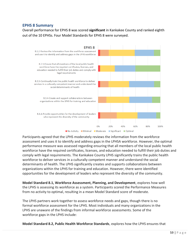## **EPHS 8 Summary**

Overall performance for EPHS 8 was scored **significant** in Kankakee County and ranked eighth out of the 10 EPHSs. Four Model Standards for EPHS 8 were surveyed.



Participants agreed that the LPHS moderately reviews the information from the workforce assessment and uses it to identify and address gaps in the LPHSA workforce. However, the optimal performance measure was assessed regarding ensuring that all members of the local public health workforce have the required certificates, licenses, and education needed to fulfill their job duties and comply with legal requirements. The Kankakee County LPHS significantly trains the public health workforce to deliver services in a culturally competent manner and understand the social determinants of health. The LPHS significantly creates and supports collaborations between organizations within the LPHS for training and education. However, there were identified opportunities for the development of leaders who represent the diversity of the community.

**Model Standard 8.1, Workforce Assessment, Planning, and Development**, explores how well the LPHS is assessing its workforce as a system. Participants scored the Performance Measures from no activity to optimal, resulting in a mean Model Standard score of moderate.

The LPHS partners work together to assess workforce needs and gaps, though there is no formal workforce assessment for the LPHS. Most individuals and many organizations in the LPHS are unaware of the findings from informal workforce assessments. Some of the workforce gaps in the LPHS include:

**Model Standard 8.2, Public Health Workforce Standards**, explores how the LPHS ensures that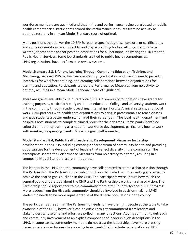workforce members are qualified and that hiring and performance reviews are based on public health competencies. Participants scored the Performance Measures from no activity to optimal, resulting in a mean Model Standard score of optimal.

Many positions that deliver the 10 EPHSs require specific degrees, licensure, or certifications and some organizations are subject to audit by accrediting bodies. All organizations have written job standards and/or position descriptions for all personnel delivering the 10 Essential Public Health Services. Some job standards are tied to public health competencies. LPHS organizations have performance review systems.

**Model Standard 8.3, Life-long Learning Through Continuing Education, Training, and Mentoring**, reviews LPHS performance in identifying education and training needs, providing incentives for workforce training, and creating collaborations between organizations for training and education. Participants scored the Performance Measures from no activity to optimal, resulting in a mean Model Standard score of significant.

There are grants available to help staff obtain CEUs. Community foundations have grants for training purposes, particularly early childhood education. College and university students work in the community through student teaching, internships, hospital/clinical settings, and social work. ONU partners with health care organizations to bring in professionals to teach classes and give students a better understanding of their career path. The local health department and hospitals host students to complete clinical hours for their degrees. Participants identified cultural competency training as a need for workforce development, particularly how to work with non-English speaking clients. More bilingual staff is needed.

**Model Standard 8.4, Public Health Leadership Development**, discusses leadership development in the LPHS including creating a shared vision of community health and providing opportunities for the development of leaders that reflect diversity in the community. The participants scored the Performance Measures from no activity to optimal, resulting in a composite Model Standard score of moderate.

The leaders in the LPHS and the community have collaborated to create a shared vision through The Partnership. The Partnership has subcommittees dedicated to implementing strategies to achieve the shared goals outlined in the CHIP. The participants were unsure how much the general public understood about the CHIP and The Partnership's work on a shared vision. The Partnership should report back to the community more often (quarterly) about CHIP progress. More leaders from the Hispanic community should be involved in decision-making. LPHS leadership needs to be more representative of the diverse populations in the county.

The participants agreed that The Partnership needs to have the right people at the table to take ownership of the CHIP, however it can be difficult to get commitment from leaders and stakeholders whose time and effort are pulled in many directions. Adding community outreach and community involvement as an explicit component of leadership job descriptions in the LPHS. In some cases, community members do not trust the leadership, have more pressing issues, or encounter barriers to accessing basic needs that preclude participation in LPHS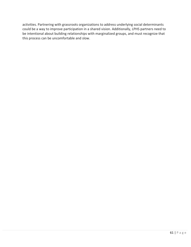activities. Partnering with grassroots organizations to address underlying social determinants could be a way to improve participation in a shared vision. Additionally, LPHS partners need to be intentional about building relationships with marginalized groups, and must recognize that this process can be uncomfortable and slow.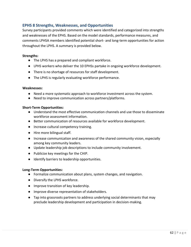## **EPHS 8 Strengths, Weaknesses, and Opportunities**

Survey participants provided comments which were identified and categorized into strengths and weaknesses of the EPHS. Based on the model standards, performance measures, and comments LPHSA members identified potential short- and long-term opportunities for action throughout the LPHS. A summary is provided below.

#### **Strengths:**

- The LPHS has a prepared and compliant workforce.
- LPHS workers who deliver the 10 EPHSs partake in ongoing workforce development.
- There is no shortage of resources for staff development.
- The LPHS is regularly evaluating workforce performance.

#### **Weaknesses:**

- Need a more systematic approach to workforce investment across the system.
- Need to improve communication across partners/platforms.

### **Short-Term Opportunities:**

- Understand the most effective communication channels and use those to disseminate workforce assessment information.
- Better communication of resources available for workforce development.
- Increase cultural competency training.
- Hire more bilingual staff.
- Increase communication and awareness of the shared community vision, especially among key community leaders.
- Update leadership job descriptions to include community involvement.
- Publicize key meetings for the CHIP.
- Identify barriers to leadership opportunities.

### **Long-Term Opportunities:**

- Formalize communication about plans, system changes, and navigation.
- Diversify the LPHS workforce.
- Improve transition of key leadership.
- Improve diverse representation of stakeholders.
- Tap into grassroots partners to address underlying social determinants that may preclude leadership development and participation in decision-making.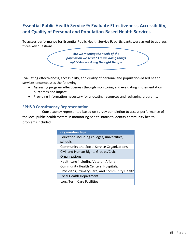# **Essential Public Health Service 9: Evaluate Effectiveness, Accessibility, and Quality of Personal and Population-Based Health Services**

To assess performance for Essential Public Health Service 9, participants were asked to address three key questions:

> *Are we meeting the needs of the population we serve? Are we doing things right? Are we doing the right things?*

Evaluating effectiveness, accessibility, and quality of personal and population-based health services encompasses the following:

- Assessing program effectiveness through monitoring and evaluating implementation outcomes and impact.
- Providing information necessary for allocating resources and reshaping programs.

## **EPHS 9 Constituency Representation**

Constituency represented based on survey completion to assess performance of the local public health system in monitoring health status to identify community health problems included:

| <b>Organization Type</b>                               |
|--------------------------------------------------------|
| Education including colleges, universities,<br>schools |
| <b>Community and Social Service Organizations</b>      |
| Civil and Human Rights Groups/Civic<br>Organizations   |
| Healthcare including Veteran Affairs,                  |
| Community Health Centers, Hospitals,                   |
| Physicians, Primary Care, and Community Health         |
| Local Health Department                                |
| Long Term Care Facilities                              |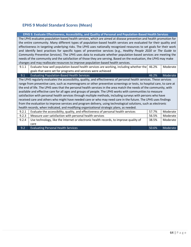# **EPHS 9 Model Standard Scores (Mean)**

**EPHS 9. Evaluate Effectiveness, Accessibility, and Quality of Personal and Population-Based Health Services**

The LPHS evaluates population-based health services, which are aimed at disease prevention and health promotion for the entire community. Many different types of population-based health services are evaluated for their quality and effectiveness in targeting underlying risks. The LPHS uses nationally recognized resources to set goals for their work and identify best practices for specific types of preventive services (e.g., *Healthy People 2020* or *The Guide to Community Preventive Services*). The LPHS uses data to evaluate whether population-based services are meeting the needs of the community and the satisfaction of those they are serving. Based on the evaluation, the LPHS may make changes and may reallocate resources to improve population-based health services.

| 9.1.1                                                                                                                                                                                                                                                                                                                                                                                                                                                                                                                                                                                                                                                                                                                                                                                                                                                                                                                                | Evaluate how well population-based health services are working, including whether the          |       | Moderate |
|--------------------------------------------------------------------------------------------------------------------------------------------------------------------------------------------------------------------------------------------------------------------------------------------------------------------------------------------------------------------------------------------------------------------------------------------------------------------------------------------------------------------------------------------------------------------------------------------------------------------------------------------------------------------------------------------------------------------------------------------------------------------------------------------------------------------------------------------------------------------------------------------------------------------------------------|------------------------------------------------------------------------------------------------|-------|----------|
|                                                                                                                                                                                                                                                                                                                                                                                                                                                                                                                                                                                                                                                                                                                                                                                                                                                                                                                                      | goals that were set for programs and services were achieved                                    |       |          |
| 9.1                                                                                                                                                                                                                                                                                                                                                                                                                                                                                                                                                                                                                                                                                                                                                                                                                                                                                                                                  | <b>Evaluating Population-Based Health Services</b>                                             | 46.2% | Moderate |
| The LPHS regularly evaluates the accessibility, quality, and effectiveness of personal health services. These services<br>range from preventive care, such as mammograms or other preventive screenings or tests, to hospital care, to care at<br>the end of life. The LPHS sees that the personal health services in the area match the needs of the community, with<br>available and effective care for all ages and groups of people. The LPHS works with communities to measure<br>satisfaction with personal health services through multiple methods, including surveys with persons who have<br>received care and others who might have needed care or who may need care in the future. The LPHS uses findings<br>from the evaluation to improve services and program delivery, using technological solutions, such as electronic<br>health records, when indicated, and modifying organizational strategic plans, as needed. |                                                                                                |       |          |
| 9.2.1                                                                                                                                                                                                                                                                                                                                                                                                                                                                                                                                                                                                                                                                                                                                                                                                                                                                                                                                | Evaluate the accessibility, quality, and effectiveness of personal health services             | 57.7% | Moderate |
| 9.2.3                                                                                                                                                                                                                                                                                                                                                                                                                                                                                                                                                                                                                                                                                                                                                                                                                                                                                                                                | Measure user satisfaction with personal health services<br>56.5%                               |       | Moderate |
| 9.2.4                                                                                                                                                                                                                                                                                                                                                                                                                                                                                                                                                                                                                                                                                                                                                                                                                                                                                                                                | Use technology, like the Internet or electronic health records, to improve quality of<br>38.5% |       | Moderate |
|                                                                                                                                                                                                                                                                                                                                                                                                                                                                                                                                                                                                                                                                                                                                                                                                                                                                                                                                      | care                                                                                           |       |          |
| 9.2                                                                                                                                                                                                                                                                                                                                                                                                                                                                                                                                                                                                                                                                                                                                                                                                                                                                                                                                  | <b>Evaluating Personal Health Services</b>                                                     | 50.6% | Moderate |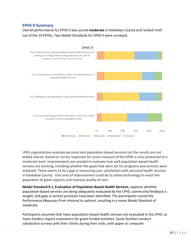## **EPHS 9 Summary**

Overall performance for EPHS 9 was scored **moderate** in Kankakee County and ranked ninth out of the 10 EPHSs. Two Model Standards for EPHS 9 were surveyed.



LPHS organizations evaluate personal and population-based services but the results are not widely shared. Based on survey responses for every measure of the EPHS is only conducted at a moderate level. Improvements are needed to evaluate how well population-based health services are working, including whether the goals that were set for programs and services were achieved. There seems to be a gap in measuring user satisfaction with personal health services in Kankakee County. One area of improvement could be to utilize technology to reach the population at great capacity and improve quality of care.

**Model Standard 9.1, Evaluation of Population-Based Health Services**, explores whether population-based services are being adequately evaluated by the LPHS, community feedback is sought, and gaps in service provision have been identified. The participants scored the Performance Measures from minimal to optimal, resulting in a mean Model Standard of moderate.

Participants assumed that many population-based health services are evaluated in the LPHS, as many funders require evaluations for grant-funded activities. Some facilities conduct satisfaction surveys with their clients during their visits, with paper or computer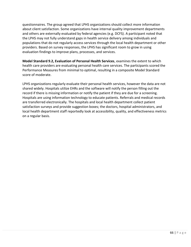questionnaires. The group agreed that LPHS organizations should collect more information about client satisfaction. Some organizations have internal quality improvement departments and others are externally evaluated by federal agencies (e.g. DCFS). A participant noted that the LPHS may not fully understand gaps in health service delivery among individuals and populations that do not regularly access services through the local health department or other providers. Based on survey responses, the LPHS has significant room to grow in using evaluation findings to improve plans, processes, and services.

**Model Standard 9.2, Evaluation of Personal Health Services**, examines the extent to which health care providers are evaluating personal health care services. The participants scored the Performance Measures from minimal to optimal, resulting in a composite Model Standard score of moderate.

LPHS organizations regularly evaluate their personal health services, however the data are not shared widely. Hospitals utilize EHRs and the software will notify the person filling out the record if there is missing information or notify the patient if they are due for a screening. Hospitals are using information technology to educate patients. Referrals and medical records are transferred electronically. The hospitals and local health department collect patient satisfaction surveys and provide suggestion boxes; the doctors, hospital administrators, and local health department staff reportedly look at accessibility, quality, and effectiveness metrics on a regular basis.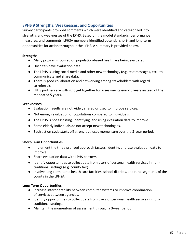## **EPHS 9 Strengths, Weaknesses, and Opportunities**

Survey participants provided comments which were identified and categorized into strengths and weaknesses of the EPHS. Based on the model standards, performance measures, and comments, LPHSA members identified potential short- and long-term opportunities for action throughout the LPHS. A summary is provided below.

#### **Strengths**

- Many programs focused on population-based health are being evaluated.
- Hospitals have evaluation data.
- The LPHS is using social media and other new technology (e.g. text messages, etc.) to communicate and share data.
- There is good collaboration and networking among stakeholders with regard to referrals.
- LPHS partners are willing to get together for assessments every 3 years instead of the mandated 5 years.

#### **Weaknesses**

- Evaluation results are not widely shared or used to improve services.
- Not enough evaluation of populations compared to individuals.
- The LPHS is not assessing, identifying, and using evaluation data to improve.
- Some elderly individuals do not accept new technologies.
- Each action cycle starts off strong but loses momentum over the 3-year period.

### **Short-Term Opportunities**

- Implement the three pronged approach (assess, identify, and use evaluation data to improve).
- Share evaluation data with LPHS partners.
- Identify opportunities to collect data from users of personal health services in nontraditional settings (e.g. county fair).
- Involve long-term home health care facilities, school districts, and rural segments of the county in the LPHSA.

#### **Long-Term Opportunities**

- Increase interoperability between computer systems to improve coordination of services between agencies.
- Identify opportunities to collect data from users of personal health services in nontraditional settings.
- Maintain the momentum of assessment through a 3-year period.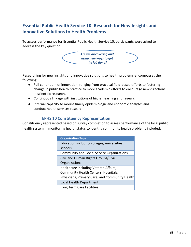# **Essential Public Health Service 10: Research for New Insights and Innovative Solutions to Health Problems**

To assess performance for Essential Public Health Service 10, participants were asked to address the key question:



Researching for new insights and innovative solutions to health problems encompasses the following:

- Full continuum of innovation, ranging from practical field-based efforts to fostering change in public health practice to more academic efforts to encourage new directions in scientific research.
- Continuous linkage with institutions of higher learning and research.
- Internal capacity to mount timely epidemiologic and economic analyses and conduct health services research.

## **EPHS 10 Constituency Representation**

Constituency represented based on survey completion to assess performance of the local public health system in monitoring health status to identify community health problems included:

| <b>Organization Type</b>                          |
|---------------------------------------------------|
| Education including colleges, universities,       |
| schools                                           |
| <b>Community and Social Service Organizations</b> |
| Civil and Human Rights Groups/Civic               |
| Organizations                                     |
| Healthcare including Veteran Affairs,             |
| Community Health Centers, Hospitals,              |
| Physicians, Primary Care, and Community Health    |
| Local Health Department                           |
| Long Term Care Facilities                         |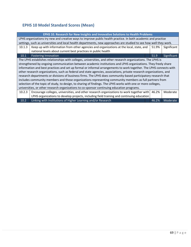# **EPHS 10 Model Standard Scores (Mean)**

| EPHS 10. Research for New Insights and Innovative Solutions to Health Problems                                      |                                                                                                  |  |       |             |
|---------------------------------------------------------------------------------------------------------------------|--------------------------------------------------------------------------------------------------|--|-------|-------------|
| LPHS organizations try new and creative ways to improve public health practice. In both academic and practice       |                                                                                                  |  |       |             |
| settings, such as universities and local health departments, new approaches are studied to see how well they work.  |                                                                                                  |  |       |             |
| 10.1.3                                                                                                              | Keep up with information from other agencies and organizations at the local, state, and          |  | 51.9% | Significant |
|                                                                                                                     | national levels about current best practices in public health                                    |  |       |             |
| 10.1                                                                                                                | <b>Fostering Innovation</b>                                                                      |  | 51.9  | Significant |
| The LPHS establishes relationships with colleges, universities, and other research organizations. The LPHS is       |                                                                                                  |  |       |             |
| strengthened by ongoing communication between academic institutions and LPHS organizations. They freely share       |                                                                                                  |  |       |             |
| information and best practices and set up formal or informal arrangements to work together. The LPHS connects with  |                                                                                                  |  |       |             |
| other research organizations, such as federal and state agencies, associations, private research organizations, and |                                                                                                  |  |       |             |
| research departments or divisions of business firms. The LPHS does community-based participatory research that      |                                                                                                  |  |       |             |
| includes community members and those organizations representing community members as full partners from             |                                                                                                  |  |       |             |
| selection of the topic of study, to design, to sharing of findings. The LPHS works with one or more colleges,       |                                                                                                  |  |       |             |
| universities, or other research organizations to co-sponsor continuing education programs.                          |                                                                                                  |  |       |             |
| 10.2.3                                                                                                              | Encourage colleges, universities, and other research organizations to work together with   46.2% |  |       | Moderate    |
|                                                                                                                     | LPHS organizations to develop projects, including field training and continuing education        |  |       |             |
| 10.2                                                                                                                | Linking with Institutions of Higher Learning and/or Research                                     |  | 46.2% | Moderate    |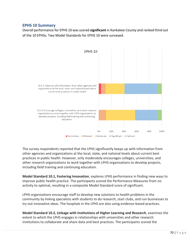## **EPHS 10 Summary**

Overall performance for EPHS 10 was scored **significant** in Kankakee County and ranked third out of the 10 EPHSs. Two Model Standards for EPHS 10 were surveyed.



The survey respondents reported that the LPHS significantly keeps up with information from other agencies and organizations at the local, state, and national levels about current best practices in public health. However, only moderately encourages colleges, universities, and other research organizations to work together with LPHS organizations to develop projects, including field training and continuing education.

**Model Standard 10.1, Fostering Innovation**, explores LPHS performance in finding new ways to improve public health practice. The participants scored the Performance Measures from no activity to optimal, resulting in a composite Model Standard score of significant.

LPHS organizations encourage staff to develop new solutions to health problems in the community by linking specialists with students to do research, start clubs, and run businesses to try out innovative ideas. The hospitals in the LPHS are also using evidence-based practices.

**Model Standard 10.2, Linkage with Institutions of Higher Learning and Research**, examines the extent to which the LPHS engages in relationships with universities and other research institutions to collaborate and share data and best practices. The participants scored the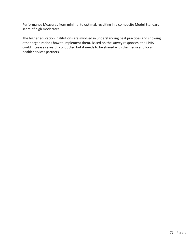Performance Measures from minimal to optimal, resulting in a composite Model Standard score of high moderates.

The higher education institutions are involved in understanding best practices and showing other organizations how to implement them. Based on the survey responses, the LPHS could increase research conducted but it needs to be shared with the media and local health services partners.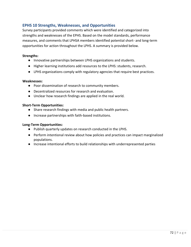## **EPHS 10 Strengths, Weaknesses, and Opportunities**

Survey participants provided comments which were identified and categorized into strengths and weaknesses of the EPHS. Based on the model standards, performance measures, and comments that LPHSA members identified potential short- and long-term opportunities for action throughout the LPHS. A summary is provided below.

#### **Strengths:**

- Innovative partnerships between LPHS organizations and students.
- Higher learning institutions add resources to the LPHS: students, research.
- LPHS organizations comply with regulatory agencies that require best practices.

#### **Weaknesses:**

- Poor dissemination of research to community members.
- Decentralized resources for research and evaluation.
- Unclear how research findings are applied in the real world.

### **Short-Term Opportunities:**

- Share research findings with media and public health partners.
- Increase partnerships with faith-based institutions.

### **Long-Term Opportunities:**

- Publish quarterly updates on research conducted in the LPHS.
- Perform intentional review about how policies and practices can impact marginalized populations.
- Increase intentional efforts to build relationships with underrepresented parties